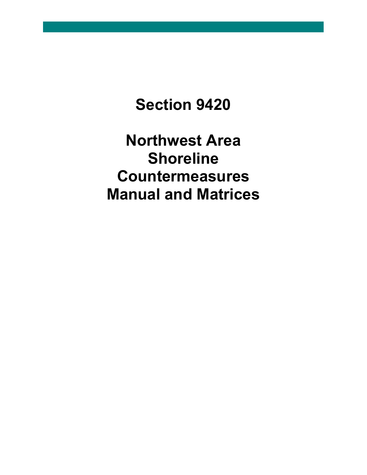# **Section 9420**

**Northwest Area Shoreline Countermeasures Manual and Matrices**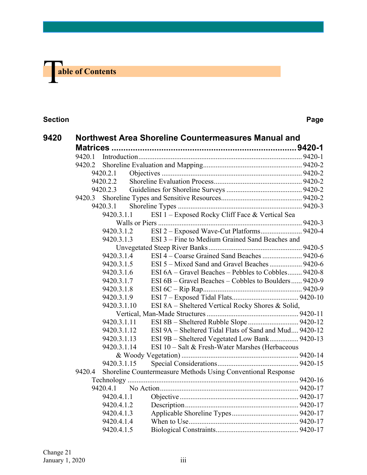

| 9420 |        |             | Northwest Area Shoreline Countermeasures Manual and          |  |  |  |
|------|--------|-------------|--------------------------------------------------------------|--|--|--|
|      |        |             |                                                              |  |  |  |
|      | 9420.1 |             |                                                              |  |  |  |
|      | 9420.2 |             |                                                              |  |  |  |
|      |        | 9420.2.1    |                                                              |  |  |  |
|      |        | 9420.2.2    |                                                              |  |  |  |
|      |        | 9420.2.3    |                                                              |  |  |  |
|      | 9420.3 |             |                                                              |  |  |  |
|      |        | 9420.3.1    |                                                              |  |  |  |
|      |        | 9420.3.1.1  | ESI 1 - Exposed Rocky Cliff Face & Vertical Sea              |  |  |  |
|      |        |             |                                                              |  |  |  |
|      |        | 9420.3.1.2  |                                                              |  |  |  |
|      |        | 9420.3.1.3  | ESI 3 – Fine to Medium Grained Sand Beaches and              |  |  |  |
|      |        |             |                                                              |  |  |  |
|      |        | 9420.3.1.4  |                                                              |  |  |  |
|      |        | 9420.3.1.5  | ESI 5 – Mixed Sand and Gravel Beaches  9420-6                |  |  |  |
|      |        | 9420.3.1.6  | ESI 6A – Gravel Beaches – Pebbles to Cobbles 9420-8          |  |  |  |
|      |        | 9420.3.1.7  | ESI 6B – Gravel Beaches – Cobbles to Boulders 9420-9         |  |  |  |
|      |        | 9420.3.1.8  |                                                              |  |  |  |
|      |        | 9420.3.1.9  |                                                              |  |  |  |
|      |        | 9420.3.1.10 | ESI 8A – Sheltered Vertical Rocky Shores & Solid,            |  |  |  |
|      |        |             |                                                              |  |  |  |
|      |        | 9420.3.1.11 |                                                              |  |  |  |
|      |        | 9420.3.1.12 | ESI 9A – Sheltered Tidal Flats of Sand and Mud 9420-12       |  |  |  |
|      |        | 9420.3.1.13 | ESI 9B – Sheltered Vegetated Low Bank 9420-13                |  |  |  |
|      |        | 9420.3.1.14 | ESI 10 - Salt & Fresh-Water Marshes (Herbaceous              |  |  |  |
|      |        |             |                                                              |  |  |  |
|      |        | 9420.3.1.15 |                                                              |  |  |  |
|      | 9420.4 |             | Shoreline Countermeasure Methods Using Conventional Response |  |  |  |
|      |        |             |                                                              |  |  |  |
|      |        | 9420.4.1    |                                                              |  |  |  |
|      |        | 9420.4.1.1  |                                                              |  |  |  |
|      |        | 9420.4.1.2  |                                                              |  |  |  |
|      |        | 9420.4.1.3  |                                                              |  |  |  |
|      |        | 9420.4.1.4  |                                                              |  |  |  |
|      |        | 9420.4.1.5  |                                                              |  |  |  |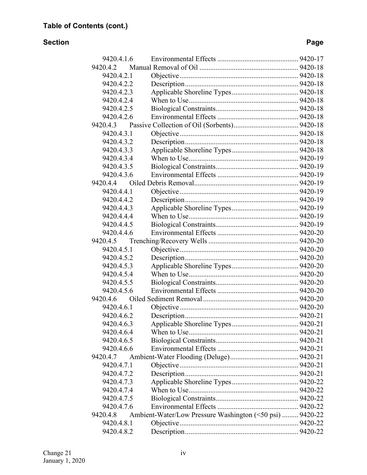| 9420.4.2<br>9420.4.2.1<br>9420.4.2.2<br>9420.4.2.3<br>9420.4.2.4<br>9420.4.2.5<br>9420.4.2.6<br>9420.4.3<br>9420.4.3.1<br>9420.4.3.2<br>9420.4.3.3<br>9420.4.3.4<br>9420.4.3.5<br>9420.4.3.6<br>9420.4.4<br>9420.4.4.1<br>9420.4.4.2<br>9420.4.4.3<br>9420.4.4.4<br>9420.4.4.5<br>9420.4.4.6<br>9420.4.5<br>9420.4.5.1<br>9420.4.5.2<br>9420.4.5.3<br>9420.4.5.4<br>9420.4.5.5<br>9420.4.5.6<br>9420.4.6<br>9420.4.6.1<br>9420.4.6.2<br>9420.4.6.3<br>9420.4.6.4<br>9420.4.6.5<br>9420.4.6.6<br>9420.4.7<br>9420.4.7.1<br>9420.4.7.2<br>9420.4.7.3<br>9420.4.7.4<br>9420.4.7.5<br>9420.4.7.6<br>Ambient-Water/Low Pressure Washington (<50 psi)  9420-22<br>9420.4.8<br>9420.4.8.1<br>9420.4.8.2 | 9420.4.1.6 |  |
|--------------------------------------------------------------------------------------------------------------------------------------------------------------------------------------------------------------------------------------------------------------------------------------------------------------------------------------------------------------------------------------------------------------------------------------------------------------------------------------------------------------------------------------------------------------------------------------------------------------------------------------------------------------------------------------------------|------------|--|
|                                                                                                                                                                                                                                                                                                                                                                                                                                                                                                                                                                                                                                                                                                  |            |  |
|                                                                                                                                                                                                                                                                                                                                                                                                                                                                                                                                                                                                                                                                                                  |            |  |
|                                                                                                                                                                                                                                                                                                                                                                                                                                                                                                                                                                                                                                                                                                  |            |  |
|                                                                                                                                                                                                                                                                                                                                                                                                                                                                                                                                                                                                                                                                                                  |            |  |
|                                                                                                                                                                                                                                                                                                                                                                                                                                                                                                                                                                                                                                                                                                  |            |  |
|                                                                                                                                                                                                                                                                                                                                                                                                                                                                                                                                                                                                                                                                                                  |            |  |
|                                                                                                                                                                                                                                                                                                                                                                                                                                                                                                                                                                                                                                                                                                  |            |  |
|                                                                                                                                                                                                                                                                                                                                                                                                                                                                                                                                                                                                                                                                                                  |            |  |
|                                                                                                                                                                                                                                                                                                                                                                                                                                                                                                                                                                                                                                                                                                  |            |  |
|                                                                                                                                                                                                                                                                                                                                                                                                                                                                                                                                                                                                                                                                                                  |            |  |
|                                                                                                                                                                                                                                                                                                                                                                                                                                                                                                                                                                                                                                                                                                  |            |  |
|                                                                                                                                                                                                                                                                                                                                                                                                                                                                                                                                                                                                                                                                                                  |            |  |
|                                                                                                                                                                                                                                                                                                                                                                                                                                                                                                                                                                                                                                                                                                  |            |  |
|                                                                                                                                                                                                                                                                                                                                                                                                                                                                                                                                                                                                                                                                                                  |            |  |
|                                                                                                                                                                                                                                                                                                                                                                                                                                                                                                                                                                                                                                                                                                  |            |  |
|                                                                                                                                                                                                                                                                                                                                                                                                                                                                                                                                                                                                                                                                                                  |            |  |
|                                                                                                                                                                                                                                                                                                                                                                                                                                                                                                                                                                                                                                                                                                  |            |  |
|                                                                                                                                                                                                                                                                                                                                                                                                                                                                                                                                                                                                                                                                                                  |            |  |
|                                                                                                                                                                                                                                                                                                                                                                                                                                                                                                                                                                                                                                                                                                  |            |  |
|                                                                                                                                                                                                                                                                                                                                                                                                                                                                                                                                                                                                                                                                                                  |            |  |
|                                                                                                                                                                                                                                                                                                                                                                                                                                                                                                                                                                                                                                                                                                  |            |  |
|                                                                                                                                                                                                                                                                                                                                                                                                                                                                                                                                                                                                                                                                                                  |            |  |
|                                                                                                                                                                                                                                                                                                                                                                                                                                                                                                                                                                                                                                                                                                  |            |  |
|                                                                                                                                                                                                                                                                                                                                                                                                                                                                                                                                                                                                                                                                                                  |            |  |
|                                                                                                                                                                                                                                                                                                                                                                                                                                                                                                                                                                                                                                                                                                  |            |  |
|                                                                                                                                                                                                                                                                                                                                                                                                                                                                                                                                                                                                                                                                                                  |            |  |
|                                                                                                                                                                                                                                                                                                                                                                                                                                                                                                                                                                                                                                                                                                  |            |  |
|                                                                                                                                                                                                                                                                                                                                                                                                                                                                                                                                                                                                                                                                                                  |            |  |
|                                                                                                                                                                                                                                                                                                                                                                                                                                                                                                                                                                                                                                                                                                  |            |  |
|                                                                                                                                                                                                                                                                                                                                                                                                                                                                                                                                                                                                                                                                                                  |            |  |
|                                                                                                                                                                                                                                                                                                                                                                                                                                                                                                                                                                                                                                                                                                  |            |  |
|                                                                                                                                                                                                                                                                                                                                                                                                                                                                                                                                                                                                                                                                                                  |            |  |
|                                                                                                                                                                                                                                                                                                                                                                                                                                                                                                                                                                                                                                                                                                  |            |  |
|                                                                                                                                                                                                                                                                                                                                                                                                                                                                                                                                                                                                                                                                                                  |            |  |
|                                                                                                                                                                                                                                                                                                                                                                                                                                                                                                                                                                                                                                                                                                  |            |  |
|                                                                                                                                                                                                                                                                                                                                                                                                                                                                                                                                                                                                                                                                                                  |            |  |
|                                                                                                                                                                                                                                                                                                                                                                                                                                                                                                                                                                                                                                                                                                  |            |  |
|                                                                                                                                                                                                                                                                                                                                                                                                                                                                                                                                                                                                                                                                                                  |            |  |
|                                                                                                                                                                                                                                                                                                                                                                                                                                                                                                                                                                                                                                                                                                  |            |  |
|                                                                                                                                                                                                                                                                                                                                                                                                                                                                                                                                                                                                                                                                                                  |            |  |
|                                                                                                                                                                                                                                                                                                                                                                                                                                                                                                                                                                                                                                                                                                  |            |  |
|                                                                                                                                                                                                                                                                                                                                                                                                                                                                                                                                                                                                                                                                                                  |            |  |
|                                                                                                                                                                                                                                                                                                                                                                                                                                                                                                                                                                                                                                                                                                  |            |  |
|                                                                                                                                                                                                                                                                                                                                                                                                                                                                                                                                                                                                                                                                                                  |            |  |
|                                                                                                                                                                                                                                                                                                                                                                                                                                                                                                                                                                                                                                                                                                  |            |  |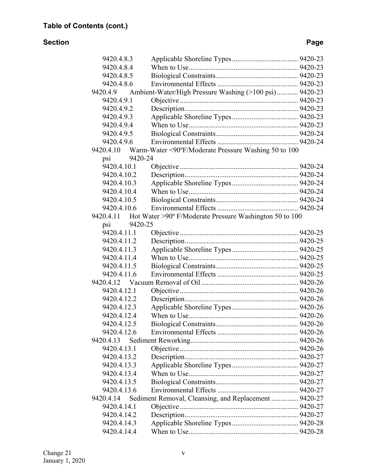| 9420.4.8.3               |         |                                                         |  |
|--------------------------|---------|---------------------------------------------------------|--|
| 9420.4.8.4               |         |                                                         |  |
| 9420.4.8.5               |         |                                                         |  |
| 9420.4.8.6               |         |                                                         |  |
| 9420.4.9                 |         | Ambient-Water/High Pressure Washing (>100 psi) 9420-23  |  |
| 9420.4.9.1               |         |                                                         |  |
| 9420.4.9.2               |         |                                                         |  |
| 9420.4.9.3               |         |                                                         |  |
| 9420.4.9.4               |         |                                                         |  |
| 9420.4.9.5               |         |                                                         |  |
| 9420.4.9.6               |         |                                                         |  |
| 9420.4.10                |         | Warm-Water <90°F/Moderate Pressure Washing 50 to 100    |  |
| psi                      | 9420-24 |                                                         |  |
| 9420.4.10.1              |         |                                                         |  |
| 9420.4.10.2              |         |                                                         |  |
| 9420.4.10.3              |         |                                                         |  |
| 9420.4.10.4              |         |                                                         |  |
| 9420.4.10.5              |         |                                                         |  |
| 9420.4.10.6              |         |                                                         |  |
| 9420.4.11                |         | Hot Water >90° F/Moderate Pressure Washington 50 to 100 |  |
| psi                      | 9420-25 |                                                         |  |
| 9420.4.11.1              |         |                                                         |  |
| 9420.4.11.2              |         |                                                         |  |
| 9420.4.11.3              |         |                                                         |  |
| 9420.4.11.4              |         |                                                         |  |
| 9420.4.11.5              |         |                                                         |  |
| 9420.4.11.6              |         |                                                         |  |
| 9420.4.12                |         |                                                         |  |
| 9420.4.12.1              |         |                                                         |  |
| 9420.4.12.2              |         |                                                         |  |
| 9420.4.12.3              |         |                                                         |  |
| 9420.4.12.4              |         |                                                         |  |
| 9420.4.12.5              |         |                                                         |  |
| 9420.4.12.6              |         |                                                         |  |
| 9420.4.13                |         |                                                         |  |
| 9420.4.13.1              |         |                                                         |  |
| 9420.4.13.2              |         |                                                         |  |
| 9420.4.13.3              |         |                                                         |  |
| 9420.4.13.4              |         |                                                         |  |
| 9420.4.13.5              |         |                                                         |  |
| 9420.4.13.6              |         |                                                         |  |
|                          |         |                                                         |  |
| 9420.4.14<br>9420.4.14.1 |         | Sediment Removal, Cleansing, and Replacement  9420-27   |  |
|                          |         |                                                         |  |
| 9420.4.14.2              |         |                                                         |  |
| 9420.4.14.3              |         |                                                         |  |
| 9420.4.14.4              |         |                                                         |  |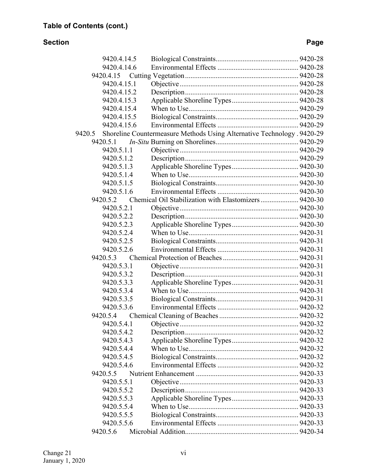| 9420.4.14.5 |                                                                         |  |
|-------------|-------------------------------------------------------------------------|--|
| 9420.4.14.6 |                                                                         |  |
|             |                                                                         |  |
| 9420.4.15.1 |                                                                         |  |
| 9420.4.15.2 |                                                                         |  |
| 9420.4.15.3 |                                                                         |  |
| 9420.4.15.4 |                                                                         |  |
| 9420.4.15.5 |                                                                         |  |
| 9420.4.15.6 |                                                                         |  |
| 9420.5      | Shoreline Countermeasure Methods Using Alternative Technology . 9420-29 |  |
| 9420.5.1    |                                                                         |  |
| 9420.5.1.1  |                                                                         |  |
| 9420.5.1.2  |                                                                         |  |
| 9420.5.1.3  |                                                                         |  |
| 9420.5.1.4  |                                                                         |  |
| 9420.5.1.5  |                                                                         |  |
| 9420.5.1.6  |                                                                         |  |
| 9420.5.2    | Chemical Oil Stabilization with Elastomizers  9420-30                   |  |
| 9420.5.2.1  |                                                                         |  |
| 9420.5.2.2  |                                                                         |  |
| 9420.5.2.3  |                                                                         |  |
| 9420.5.2.4  |                                                                         |  |
| 9420.5.2.5  |                                                                         |  |
| 9420.5.2.6  |                                                                         |  |
| 9420.5.3    |                                                                         |  |
| 9420.5.3.1  |                                                                         |  |
| 9420.5.3.2  |                                                                         |  |
| 9420.5.3.3  |                                                                         |  |
| 9420.5.3.4  |                                                                         |  |
| 9420.5.3.5  |                                                                         |  |
| 9420.5.3.6  |                                                                         |  |
| 9420.5.4    |                                                                         |  |
|             |                                                                         |  |
| 9420.5.4.2  |                                                                         |  |
| 9420.5.4.3  |                                                                         |  |
| 9420.5.4.4  |                                                                         |  |
| 9420.5.4.5  |                                                                         |  |
| 9420.5.4.6  |                                                                         |  |
| 9420.5.5    |                                                                         |  |
| 9420.5.5.1  |                                                                         |  |
| 9420.5.5.2  |                                                                         |  |
| 9420.5.5.3  |                                                                         |  |
| 9420.5.5.4  |                                                                         |  |
| 9420.5.5.5  |                                                                         |  |
| 9420.5.5.6  |                                                                         |  |
| 9420.5.6    |                                                                         |  |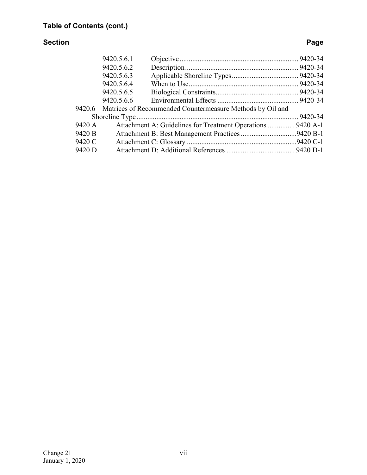|        | 9420.5.6.1 |                                                                  |  |  |  |  |  |  |  |
|--------|------------|------------------------------------------------------------------|--|--|--|--|--|--|--|
|        | 9420.5.6.2 |                                                                  |  |  |  |  |  |  |  |
|        | 9420.5.6.3 |                                                                  |  |  |  |  |  |  |  |
|        | 9420.5.6.4 |                                                                  |  |  |  |  |  |  |  |
|        | 9420.5.6.5 |                                                                  |  |  |  |  |  |  |  |
|        | 9420.5.6.6 |                                                                  |  |  |  |  |  |  |  |
|        |            | 9420.6 Matrices of Recommended Countermeasure Methods by Oil and |  |  |  |  |  |  |  |
|        |            |                                                                  |  |  |  |  |  |  |  |
| 9420 A |            | Attachment A: Guidelines for Treatment Operations  9420 A-1      |  |  |  |  |  |  |  |
| 9420 B |            |                                                                  |  |  |  |  |  |  |  |
| 9420 C |            |                                                                  |  |  |  |  |  |  |  |
| 9420 D |            |                                                                  |  |  |  |  |  |  |  |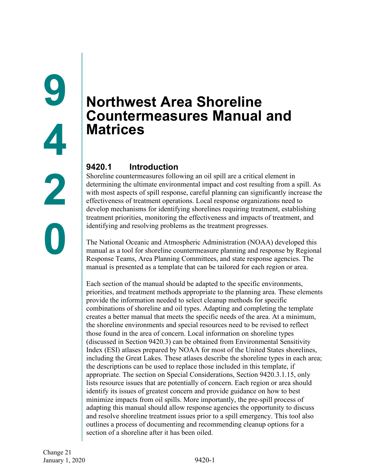# <span id="page-6-1"></span><span id="page-6-0"></span>**Northwest Area Shoreline Countermeasures Manual and Matrices**

# <span id="page-6-2"></span>**9420.1 Introduction**

Shoreline countermeasures following an oil spill are a critical element in determining the ultimate environmental impact and cost resulting from a spill. As with most aspects of spill response, careful planning can significantly increase the effectiveness of treatment operations. Local response organizations need to develop mechanisms for identifying shorelines requiring treatment, establishing treatment priorities, monitoring the effectiveness and impacts of treatment, and identifying and resolving problems as the treatment progresses.

The National Oceanic and Atmospheric Administration (NOAA) developed this manual as a tool for shoreline countermeasure planning and response by Regional Response Teams, Area Planning Committees, and state response agencies. The manual is presented as a template that can be tailored for each region or area.

Each section of the manual should be adapted to the specific environments, priorities, and treatment methods appropriate to the planning area. These elements provide the information needed to select cleanup methods for specific combinations of shoreline and oil types. Adapting and completing the template creates a better manual that meets the specific needs of the area. At a minimum, the shoreline environments and special resources need to be revised to reflect those found in the area of concern. Local information on shoreline types (discussed in Section 9420.3) can be obtained from Environmental Sensitivity Index (ESI) atlases prepared by NOAA for most of the United States shorelines, including the Great Lakes. These atlases describe the shoreline types in each area; the descriptions can be used to replace those included in this template, if appropriate. The section on Special Considerations, Section 9420.3.1.15, only lists resource issues that are potentially of concern. Each region or area should identify its issues of greatest concern and provide guidance on how to best minimize impacts from oil spills. More importantly, the pre-spill process of adapting this manual should allow response agencies the opportunity to discuss and resolve shoreline treatment issues prior to a spill emergency. This tool also outlines a process of documenting and recommending cleanup options for a section of a shoreline after it has been oiled.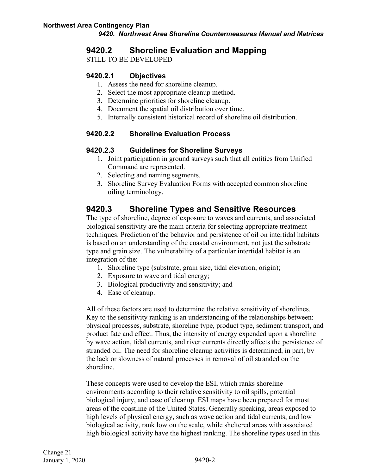## <span id="page-7-0"></span>**9420.2 Shoreline Evaluation and Mapping**

STILL TO BE DEVELOPED

#### <span id="page-7-1"></span>**9420.2.1 Objectives**

- 1. Assess the need for shoreline cleanup.
- 2. Select the most appropriate cleanup method.
- 3. Determine priorities for shoreline cleanup.
- 4. Document the spatial oil distribution over time.
- 5. Internally consistent historical record of shoreline oil distribution.

#### <span id="page-7-2"></span>**9420.2.2 Shoreline Evaluation Process**

#### <span id="page-7-3"></span>**9420.2.3 Guidelines for Shoreline Surveys**

- 1. Joint participation in ground surveys such that all entities from Unified Command are represented.
- 2. Selecting and naming segments.
- 3. Shoreline Survey Evaluation Forms with accepted common shoreline oiling terminology.

# <span id="page-7-4"></span>**9420.3 Shoreline Types and Sensitive Resources**

The type of shoreline, degree of exposure to waves and currents, and associated biological sensitivity are the main criteria for selecting appropriate treatment techniques. Prediction of the behavior and persistence of oil on intertidal habitats is based on an understanding of the coastal environment, not just the substrate type and grain size. The vulnerability of a particular intertidal habitat is an integration of the:

- 1. Shoreline type (substrate, grain size, tidal elevation, origin);
- 2. Exposure to wave and tidal energy;
- 3. Biological productivity and sensitivity; and
- 4. Ease of cleanup.

All of these factors are used to determine the relative sensitivity of shorelines. Key to the sensitivity ranking is an understanding of the relationships between: physical processes, substrate, shoreline type, product type, sediment transport, and product fate and effect. Thus, the intensity of energy expended upon a shoreline by wave action, tidal currents, and river currents directly affects the persistence of stranded oil. The need for shoreline cleanup activities is determined, in part, by the lack or slowness of natural processes in removal of oil stranded on the shoreline.

These concepts were used to develop the ESI, which ranks shoreline environments according to their relative sensitivity to oil spills, potential biological injury, and ease of cleanup. ESI maps have been prepared for most areas of the coastline of the United States. Generally speaking, areas exposed to high levels of physical energy, such as wave action and tidal currents, and low biological activity, rank low on the scale, while sheltered areas with associated high biological activity have the highest ranking. The shoreline types used in this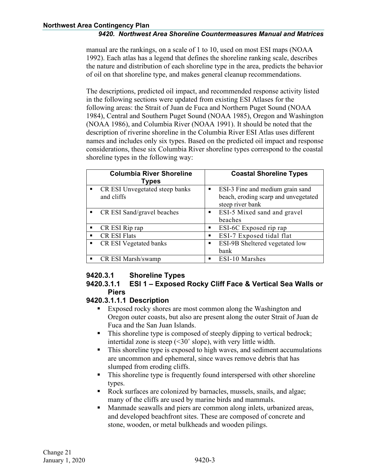manual are the rankings, on a scale of 1 to 10, used on most ESI maps (NOAA 1992). Each atlas has a legend that defines the shoreline ranking scale, describes the nature and distribution of each shoreline type in the area, predicts the behavior of oil on that shoreline type, and makes general cleanup recommendations.

The descriptions, predicted oil impact, and recommended response activity listed in the following sections were updated from existing ESI Atlases for the following areas: the Strait of Juan de Fuca and Northern Puget Sound (NOAA 1984), Central and Southern Puget Sound (NOAA 1985), Oregon and Washington (NOAA 1986), and Columbia River (NOAA 1991). It should be noted that the description of riverine shoreline in the Columbia River ESI Atlas uses different names and includes only six types. Based on the predicted oil impact and response considerations, these six Columbia River shoreline types correspond to the coastal shoreline types in the following way:

|                | <b>Columbia River Shoreline</b><br>Types     |                | <b>Coastal Shoreline Types</b>                                           |
|----------------|----------------------------------------------|----------------|--------------------------------------------------------------------------|
| $\blacksquare$ | CR ESI Unvegetated steep banks<br>and cliffs |                | ESI-3 Fine and medium grain sand<br>beach, eroding scarp and unvegetated |
|                |                                              |                | steep river bank                                                         |
| $\blacksquare$ | CR ESI Sand/gravel beaches                   |                | <b>EXI-5 Mixed sand and gravel</b>                                       |
|                |                                              |                | beaches                                                                  |
|                | $\blacksquare$ CR ESI Rip rap                | $\blacksquare$ | ESI-6C Exposed rip rap                                                   |
| $\blacksquare$ | <b>CR ESI Flats</b>                          |                | ESI-7 Exposed tidal flat                                                 |
| $\blacksquare$ | CR ESI Vegetated banks                       | $\blacksquare$ | ESI-9B Sheltered vegetated low                                           |
|                |                                              |                | bank                                                                     |
|                | CR ESI Marsh/swamp                           | $\blacksquare$ | ESI-10 Marshes                                                           |

# <span id="page-8-0"></span>**9420.3.1 Shoreline Types**

#### <span id="page-8-1"></span>**9420.3.1.1 ESI 1 – Exposed Rocky Cliff Face & Vertical Sea Walls or Piers**

#### **9420.3.1.1.1 Description**

- Exposed rocky shores are most common along the Washington and Oregon outer coasts, but also are present along the outer Strait of Juan de Fuca and the San Juan Islands.
- This shoreline type is composed of steeply dipping to vertical bedrock; intertidal zone is steep (<30˚ slope), with very little width.
- This shoreline type is exposed to high waves, and sediment accumulations are uncommon and ephemeral, since waves remove debris that has slumped from eroding cliffs.
- This shoreline type is frequently found interspersed with other shoreline types.
- Rock surfaces are colonized by barnacles, mussels, snails, and algae; many of the cliffs are used by marine birds and mammals.
- **Manmade seawalls and piers are common along inlets, urbanized areas,** and developed beachfront sites. These are composed of concrete and stone, wooden, or metal bulkheads and wooden pilings.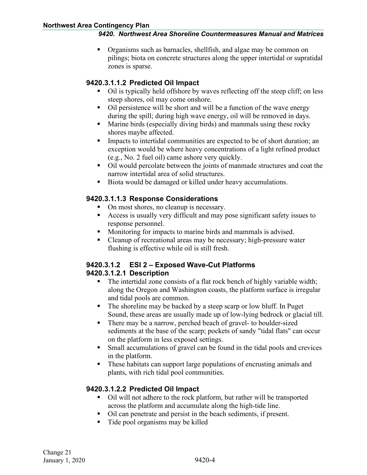Organisms such as barnacles, shellfish, and algae may be common on pilings; biota on concrete structures along the upper intertidal or supratidal zones is sparse.

#### **9420.3.1.1.2 Predicted Oil Impact**

- Oil is typically held offshore by waves reflecting off the steep cliff; on less steep shores, oil may come onshore.
- Oil persistence will be short and will be a function of the wave energy during the spill; during high wave energy, oil will be removed in days.
- **Marine birds (especially diving birds) and mammals using these rocky** shores maybe affected.
- **Impacts to intertidal communities are expected to be of short duration; an** exception would be where heavy concentrations of a light refined product (e.g., No. 2 fuel oil) came ashore very quickly.
- Oil would percolate between the joints of manmade structures and coat the narrow intertidal area of solid structures.
- Biota would be damaged or killed under heavy accumulations.

#### **9420.3.1.1.3 Response Considerations**

- On most shores, no cleanup is necessary.
- Access is usually very difficult and may pose significant safety issues to response personnel.
- **Monitoring for impacts to marine birds and mammals is advised.**
- Cleanup of recreational areas may be necessary; high-pressure water flushing is effective while oil is still fresh.

#### <span id="page-9-0"></span>**9420.3.1.2 ESI 2 – Exposed Wave-Cut Platforms 9420.3.1.2.1 Description**

- The intertidal zone consists of a flat rock bench of highly variable width; along the Oregon and Washington coasts, the platform surface is irregular and tidal pools are common.
- The shoreline may be backed by a steep scarp or low bluff. In Puget Sound, these areas are usually made up of low-lying bedrock or glacial till.
- There may be a narrow, perched beach of gravel- to boulder-sized sediments at the base of the scarp; pockets of sandy "tidal flats" can occur on the platform in less exposed settings.
- Small accumulations of gravel can be found in the tidal pools and crevices in the platform.
- These habitats can support large populations of encrusting animals and plants, with rich tidal pool communities.

### **9420.3.1.2.2 Predicted Oil Impact**

- Oil will not adhere to the rock platform, but rather will be transported across the platform and accumulate along the high-tide line.
- Oil can penetrate and persist in the beach sediments, if present.
- Tide pool organisms may be killed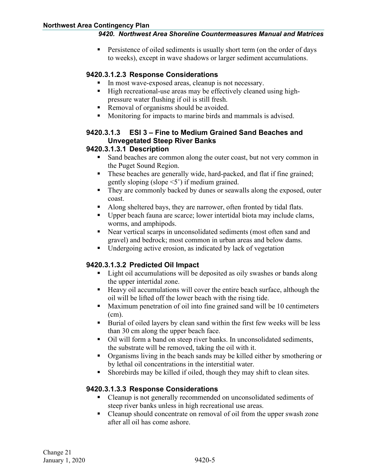**Persistence of oiled sediments is usually short term (on the order of days** to weeks), except in wave shadows or larger sediment accumulations.

#### **9420.3.1.2.3 Response Considerations**

- In most wave-exposed areas, cleanup is not necessary.
- High recreational-use areas may be effectively cleaned using highpressure water flushing if oil is still fresh.
- Removal of organisms should be avoided.
- Monitoring for impacts to marine birds and mammals is advised.

#### <span id="page-10-0"></span>**9420.3.1.3 ESI 3 – Fine to Medium Grained Sand Beaches and Unvegetated Steep River Banks**

#### **9420.3.1.3.1 Description**

- Sand beaches are common along the outer coast, but not very common in the Puget Sound Region.
- These beaches are generally wide, hard-packed, and flat if fine grained; gently sloping (slope <5˚) if medium grained.
- They are commonly backed by dunes or seawalls along the exposed, outer coast.
- Along sheltered bays, they are narrower, often fronted by tidal flats.
- Upper beach fauna are scarce; lower intertidal biota may include clams, worms, and amphipods.
- Near vertical scarps in unconsolidated sediments (most often sand and gravel) and bedrock; most common in urban areas and below dams.
- **ID** Undergoing active erosion, as indicated by lack of vegetation

#### **9420.3.1.3.2 Predicted Oil Impact**

- **Light oil accumulations will be deposited as oily swashes or bands along** the upper intertidal zone.
- Heavy oil accumulations will cover the entire beach surface, although the oil will be lifted off the lower beach with the rising tide.
- Maximum penetration of oil into fine grained sand will be 10 centimeters (cm).
- Burial of oiled layers by clean sand within the first few weeks will be less than 30 cm along the upper beach face.
- Oil will form a band on steep river banks. In unconsolidated sediments, the substrate will be removed, taking the oil with it.
- Organisms living in the beach sands may be killed either by smothering or by lethal oil concentrations in the interstitial water.
- Shorebirds may be killed if oiled, though they may shift to clean sites.

#### **9420.3.1.3.3 Response Considerations**

- Cleanup is not generally recommended on unconsolidated sediments of steep river banks unless in high recreational use areas.
- Cleanup should concentrate on removal of oil from the upper swash zone after all oil has come ashore.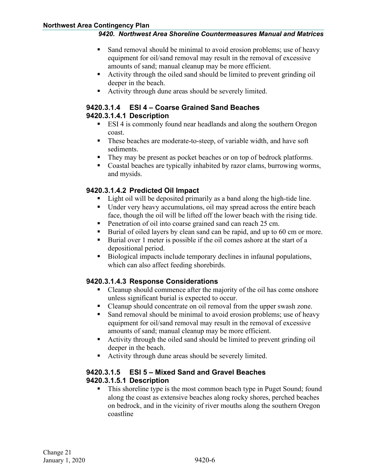- Sand removal should be minimal to avoid erosion problems; use of heavy equipment for oil/sand removal may result in the removal of excessive amounts of sand; manual cleanup may be more efficient.
- Activity through the oiled sand should be limited to prevent grinding oil deeper in the beach.
- Activity through dune areas should be severely limited.

#### <span id="page-11-0"></span>**9420.3.1.4 ESI 4 – Coarse Grained Sand Beaches 9420.3.1.4.1 Description**

- **ESI 4** is commonly found near headlands and along the southern Oregon coast.
- These beaches are moderate-to-steep, of variable width, and have soft sediments.
- They may be present as pocket beaches or on top of bedrock platforms.
- Coastal beaches are typically inhabited by razor clams, burrowing worms, and mysids.

#### **9420.3.1.4.2 Predicted Oil Impact**

- Light oil will be deposited primarily as a band along the high-tide line.
- Under very heavy accumulations, oil may spread across the entire beach face, though the oil will be lifted off the lower beach with the rising tide.
- **Penetration of oil into coarse grained sand can reach 25 cm.**
- Burial of oiled layers by clean sand can be rapid, and up to 60 cm or more.
- Burial over 1 meter is possible if the oil comes ashore at the start of a depositional period.
- Biological impacts include temporary declines in infaunal populations, which can also affect feeding shorebirds.

#### **9420.3.1.4.3 Response Considerations**

- Cleanup should commence after the majority of the oil has come onshore unless significant burial is expected to occur.
- Cleanup should concentrate on oil removal from the upper swash zone.
- Sand removal should be minimal to avoid erosion problems; use of heavy equipment for oil/sand removal may result in the removal of excessive amounts of sand; manual cleanup may be more efficient.
- Activity through the oiled sand should be limited to prevent grinding oil deeper in the beach.
- Activity through dune areas should be severely limited.

#### <span id="page-11-1"></span>**9420.3.1.5 ESI 5 – Mixed Sand and Gravel Beaches 9420.3.1.5.1 Description**

• This shoreline type is the most common beach type in Puget Sound; found along the coast as extensive beaches along rocky shores, perched beaches on bedrock, and in the vicinity of river mouths along the southern Oregon coastline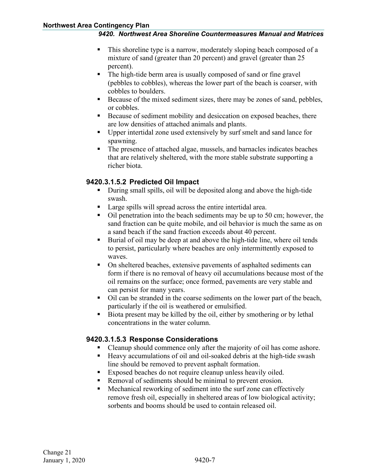- This shoreline type is a narrow, moderately sloping beach composed of a mixture of sand (greater than 20 percent) and gravel (greater than 25 percent).
- The high-tide berm area is usually composed of sand or fine gravel (pebbles to cobbles), whereas the lower part of the beach is coarser, with cobbles to boulders.
- Because of the mixed sediment sizes, there may be zones of sand, pebbles, or cobbles.
- Because of sediment mobility and desiccation on exposed beaches, there are low densities of attached animals and plants.
- Upper intertidal zone used extensively by surf smelt and sand lance for spawning.
- The presence of attached algae, mussels, and barnacles indicates beaches that are relatively sheltered, with the more stable substrate supporting a richer biota.

### **9420.3.1.5.2 Predicted Oil Impact**

- During small spills, oil will be deposited along and above the high-tide swash.
- **Large spills will spread across the entire intertidal area.**
- $\blacksquare$  Oil penetration into the beach sediments may be up to 50 cm; however, the sand fraction can be quite mobile, and oil behavior is much the same as on a sand beach if the sand fraction exceeds about 40 percent.
- Burial of oil may be deep at and above the high-tide line, where oil tends to persist, particularly where beaches are only intermittently exposed to waves.
- On sheltered beaches, extensive pavements of asphalted sediments can form if there is no removal of heavy oil accumulations because most of the oil remains on the surface; once formed, pavements are very stable and can persist for many years.
- Oil can be stranded in the coarse sediments on the lower part of the beach, particularly if the oil is weathered or emulsified.
- Biota present may be killed by the oil, either by smothering or by lethal concentrations in the water column.

#### **9420.3.1.5.3 Response Considerations**

- Cleanup should commence only after the majority of oil has come ashore.
- Heavy accumulations of oil and oil-soaked debris at the high-tide swash line should be removed to prevent asphalt formation.
- Exposed beaches do not require cleanup unless heavily oiled.
- Removal of sediments should be minimal to prevent erosion.
- Mechanical reworking of sediment into the surf zone can effectively remove fresh oil, especially in sheltered areas of low biological activity; sorbents and booms should be used to contain released oil.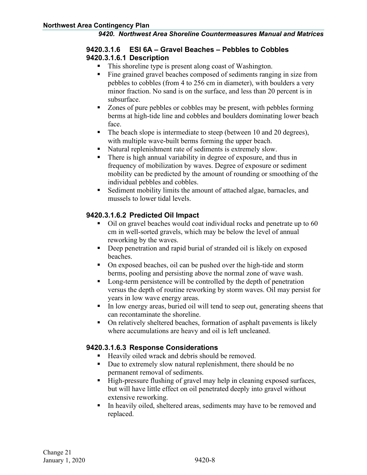#### <span id="page-13-0"></span>**9420.3.1.6 ESI 6A – Gravel Beaches – Pebbles to Cobbles 9420.3.1.6.1 Description**

- This shoreline type is present along coast of Washington.
- Fine grained gravel beaches composed of sediments ranging in size from pebbles to cobbles (from 4 to 256 cm in diameter), with boulders a very minor fraction. No sand is on the surface, and less than 20 percent is in subsurface.
- Zones of pure pebbles or cobbles may be present, with pebbles forming berms at high-tide line and cobbles and boulders dominating lower beach face.
- The beach slope is intermediate to steep (between 10 and 20 degrees), with multiple wave-built berms forming the upper beach.
- Natural replenishment rate of sediments is extremely slow.
- There is high annual variability in degree of exposure, and thus in frequency of mobilization by waves. Degree of exposure or sediment mobility can be predicted by the amount of rounding or smoothing of the individual pebbles and cobbles.
- Sediment mobility limits the amount of attached algae, barnacles, and mussels to lower tidal levels.

#### **9420.3.1.6.2 Predicted Oil Impact**

- Oil on gravel beaches would coat individual rocks and penetrate up to 60 cm in well-sorted gravels, which may be below the level of annual reworking by the waves.
- Deep penetration and rapid burial of stranded oil is likely on exposed beaches.
- On exposed beaches, oil can be pushed over the high-tide and storm berms, pooling and persisting above the normal zone of wave wash.
- Long-term persistence will be controlled by the depth of penetration versus the depth of routine reworking by storm waves. Oil may persist for years in low wave energy areas.
- In low energy areas, buried oil will tend to seep out, generating sheens that can recontaminate the shoreline.
- On relatively sheltered beaches, formation of asphalt pavements is likely where accumulations are heavy and oil is left uncleaned.

#### **9420.3.1.6.3 Response Considerations**

- Heavily oiled wrack and debris should be removed.
- Due to extremely slow natural replenishment, there should be no permanent removal of sediments.
- High-pressure flushing of gravel may help in cleaning exposed surfaces, but will have little effect on oil penetrated deeply into gravel without extensive reworking.
- In heavily oiled, sheltered areas, sediments may have to be removed and replaced.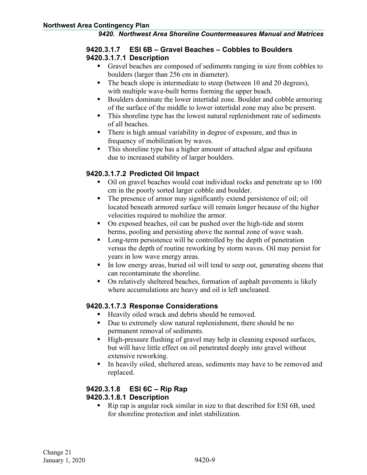#### <span id="page-14-0"></span>**9420.3.1.7 ESI 6B – Gravel Beaches – Cobbles to Boulders 9420.3.1.7.1 Description**

- Gravel beaches are composed of sediments ranging in size from cobbles to boulders (larger than 256 cm in diameter).
- The beach slope is intermediate to steep (between 10 and 20 degrees), with multiple wave-built berms forming the upper beach.
- Boulders dominate the lower intertidal zone. Boulder and cobble armoring of the surface of the middle to lower intertidal zone may also be present.
- This shoreline type has the lowest natural replenishment rate of sediments of all beaches.
- There is high annual variability in degree of exposure, and thus in frequency of mobilization by waves.
- This shoreline type has a higher amount of attached algae and epifauna due to increased stability of larger boulders.

### **9420.3.1.7.2 Predicted Oil Impact**

- Oil on gravel beaches would coat individual rocks and penetrate up to 100 cm in the poorly sorted larger cobble and boulder.
- The presence of armor may significantly extend persistence of oil; oil located beneath armored surface will remain longer because of the higher velocities required to mobilize the armor.
- On exposed beaches, oil can be pushed over the high-tide and storm berms, pooling and persisting above the normal zone of wave wash.
- Long-term persistence will be controlled by the depth of penetration versus the depth of routine reworking by storm waves. Oil may persist for years in low wave energy areas.
- In low energy areas, buried oil will tend to seep out, generating sheens that can recontaminate the shoreline.
- On relatively sheltered beaches, formation of asphalt pavements is likely where accumulations are heavy and oil is left uncleaned.

#### **9420.3.1.7.3 Response Considerations**

- Heavily oiled wrack and debris should be removed.
- Due to extremely slow natural replenishment, there should be no permanent removal of sediments.
- High-pressure flushing of gravel may help in cleaning exposed surfaces, but will have little effect on oil penetrated deeply into gravel without extensive reworking.
- In heavily oiled, sheltered areas, sediments may have to be removed and replaced.

# <span id="page-14-1"></span>**9420.3.1.8 ESI 6C – Rip Rap**

# **9420.3.1.8.1 Description**

 Rip rap is angular rock similar in size to that described for ESI 6B, used for shoreline protection and inlet stabilization.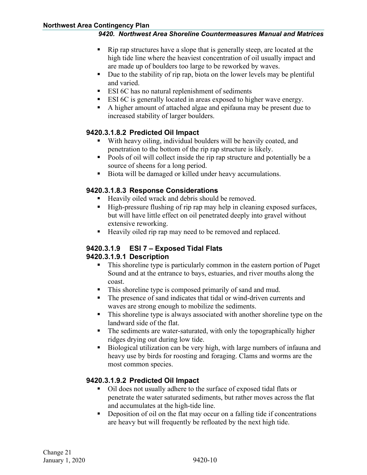- Rip rap structures have a slope that is generally steep, are located at the high tide line where the heaviest concentration of oil usually impact and are made up of boulders too large to be reworked by waves.
- Due to the stability of rip rap, biota on the lower levels may be plentiful and varied.
- ESI 6C has no natural replenishment of sediments
- ESI 6C is generally located in areas exposed to higher wave energy.
- A higher amount of attached algae and epifauna may be present due to increased stability of larger boulders.

#### **9420.3.1.8.2 Predicted Oil Impact**

- With heavy oiling, individual boulders will be heavily coated, and penetration to the bottom of the rip rap structure is likely.
- Pools of oil will collect inside the rip rap structure and potentially be a source of sheens for a long period.
- Biota will be damaged or killed under heavy accumulations.

#### **9420.3.1.8.3 Response Considerations**

- Heavily oiled wrack and debris should be removed.
- High-pressure flushing of rip rap may help in cleaning exposed surfaces, but will have little effect on oil penetrated deeply into gravel without extensive reworking.
- Heavily oiled rip rap may need to be removed and replaced.

#### <span id="page-15-0"></span>**9420.3.1.9 ESI 7 – Exposed Tidal Flats 9420.3.1.9.1 Description**

- This shoreline type is particularly common in the eastern portion of Puget Sound and at the entrance to bays, estuaries, and river mouths along the coast.
- This shoreline type is composed primarily of sand and mud.
- The presence of sand indicates that tidal or wind-driven currents and waves are strong enough to mobilize the sediments.
- This shoreline type is always associated with another shoreline type on the landward side of the flat.
- The sediments are water-saturated, with only the topographically higher ridges drying out during low tide.
- Biological utilization can be very high, with large numbers of infauna and heavy use by birds for roosting and foraging. Clams and worms are the most common species.

### **9420.3.1.9.2 Predicted Oil Impact**

- Oil does not usually adhere to the surface of exposed tidal flats or penetrate the water saturated sediments, but rather moves across the flat and accumulates at the high-tide line.
- Deposition of oil on the flat may occur on a falling tide if concentrations are heavy but will frequently be refloated by the next high tide.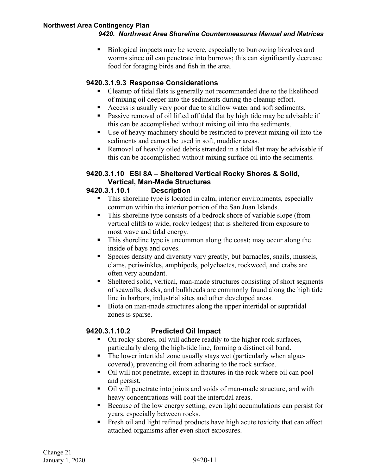Biological impacts may be severe, especially to burrowing bivalves and worms since oil can penetrate into burrows; this can significantly decrease food for foraging birds and fish in the area.

#### **9420.3.1.9.3 Response Considerations**

- Cleanup of tidal flats is generally not recommended due to the likelihood of mixing oil deeper into the sediments during the cleanup effort.
- Access is usually very poor due to shallow water and soft sediments.
- Passive removal of oil lifted off tidal flat by high tide may be advisable if this can be accomplished without mixing oil into the sediments.
- Use of heavy machinery should be restricted to prevent mixing oil into the sediments and cannot be used in soft, muddier areas.
- Removal of heavily oiled debris stranded in a tidal flat may be advisable if this can be accomplished without mixing surface oil into the sediments.

#### <span id="page-16-0"></span>**9420.3.1.10 ESI 8A – Sheltered Vertical Rocky Shores & Solid, Vertical, Man-Made Structures**

#### **9420.3.1.10.1 Description**

- This shoreline type is located in calm, interior environments, especially common within the interior portion of the San Juan Islands.
- This shoreline type consists of a bedrock shore of variable slope (from vertical cliffs to wide, rocky ledges) that is sheltered from exposure to most wave and tidal energy.
- This shoreline type is uncommon along the coast; may occur along the inside of bays and coves.
- Species density and diversity vary greatly, but barnacles, snails, mussels, clams, periwinkles, amphipods, polychaetes, rockweed, and crabs are often very abundant.
- Sheltered solid, vertical, man-made structures consisting of short segments of seawalls, docks, and bulkheads are commonly found along the high tide line in harbors, industrial sites and other developed areas.
- Biota on man-made structures along the upper intertidal or supratidal zones is sparse.

### **9420.3.1.10.2 Predicted Oil Impact**

- On rocky shores, oil will adhere readily to the higher rock surfaces, particularly along the high-tide line, forming a distinct oil band.
- The lower intertidal zone usually stays wet (particularly when algaecovered), preventing oil from adhering to the rock surface.
- Oil will not penetrate, except in fractures in the rock where oil can pool and persist.
- Oil will penetrate into joints and voids of man-made structure, and with heavy concentrations will coat the intertidal areas.
- Because of the low energy setting, even light accumulations can persist for years, especially between rocks.
- Fresh oil and light refined products have high acute toxicity that can affect attached organisms after even short exposures.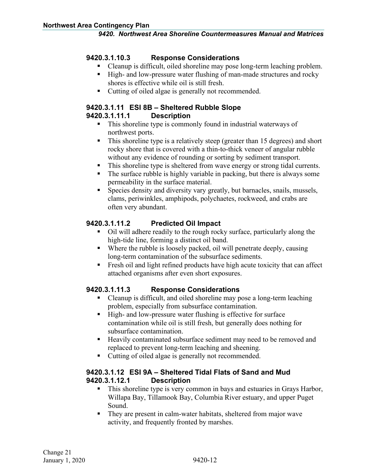#### **9420.3.1.10.3 Response Considerations**

- Cleanup is difficult, oiled shoreline may pose long-term leaching problem.
- High- and low-pressure water flushing of man-made structures and rocky shores is effective while oil is still fresh.
- Cutting of oiled algae is generally not recommended.

#### <span id="page-17-0"></span>**9420.3.1.11 ESI 8B – Sheltered Rubble Slope 9420.3.1.11.1 Description**

- This shoreline type is commonly found in industrial waterways of northwest ports.
- This shoreline type is a relatively steep (greater than 15 degrees) and short rocky shore that is covered with a thin-to-thick veneer of angular rubble without any evidence of rounding or sorting by sediment transport.
- This shoreline type is sheltered from wave energy or strong tidal currents.
- The surface rubble is highly variable in packing, but there is always some permeability in the surface material.
- Species density and diversity vary greatly, but barnacles, snails, mussels, clams, periwinkles, amphipods, polychaetes, rockweed, and crabs are often very abundant.

### **9420.3.1.11.2 Predicted Oil Impact**

- Oil will adhere readily to the rough rocky surface, particularly along the high-tide line, forming a distinct oil band.
- Where the rubble is loosely packed, oil will penetrate deeply, causing long-term contamination of the subsurface sediments.
- Fresh oil and light refined products have high acute toxicity that can affect attached organisms after even short exposures.

#### **9420.3.1.11.3 Response Considerations**

- Cleanup is difficult, and oiled shoreline may pose a long-term leaching problem, especially from subsurface contamination.
- High- and low-pressure water flushing is effective for surface contamination while oil is still fresh, but generally does nothing for subsurface contamination.
- **Heavily contaminated subsurface sediment may need to be removed and** replaced to prevent long-term leaching and sheening.
- Cutting of oiled algae is generally not recommended.

#### <span id="page-17-1"></span>**9420.3.1.12 ESI 9A – Sheltered Tidal Flats of Sand and Mud 9420.3.1.12.1 Description**

- This shoreline type is very common in bays and estuaries in Grays Harbor, Willapa Bay, Tillamook Bay, Columbia River estuary, and upper Puget Sound.
- They are present in calm-water habitats, sheltered from major wave activity, and frequently fronted by marshes.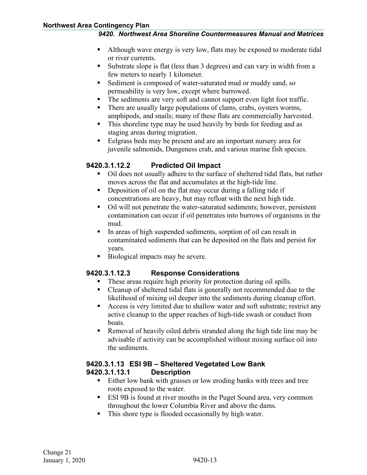- Although wave energy is very low, flats may be exposed to moderate tidal or river currents.
- Substrate slope is flat (less than 3 degrees) and can vary in width from a few meters to nearly 1 kilometer.
- Sediment is composed of water-saturated mud or muddy sand, so permeability is very low, except where burrowed.
- The sediments are very soft and cannot support even light foot traffic.
- There are usually large populations of clams, crabs, oysters worms, amphipods, and snails; many of these flats are commercially harvested.
- This shoreline type may be used heavily by birds for feeding and as staging areas during migration.
- Eelgrass beds may be present and are an important nursery area for juvenile salmonids, Dungeness crab, and various marine fish species.

#### **9420.3.1.12.2 Predicted Oil Impact**

- Oil does not usually adhere to the surface of sheltered tidal flats, but rather moves across the flat and accumulates at the high-tide line.
- Deposition of oil on the flat may occur during a falling tide if concentrations are heavy, but may refloat with the next high tide.
- Oil will not penetrate the water-saturated sediments; however, persistent contamination can occur if oil penetrates into burrows of organisms in the mud.
- In areas of high suspended sediments, sorption of oil can result in contaminated sediments that can be deposited on the flats and persist for years.
- Biological impacts may be severe.

#### **9420.3.1.12.3 Response Considerations**

- These areas require high priority for protection during oil spills.
- Cleanup of sheltered tidal flats is generally not recommended due to the likelihood of mixing oil deeper into the sediments during cleanup effort.
- Access is very limited due to shallow water and soft substrate; restrict any active cleanup to the upper reaches of high-tide swash or conduct from boats.
- Removal of heavily oiled debris stranded along the high tide line may be advisable if activity can be accomplished without mixing surface oil into the sediments.

#### <span id="page-18-0"></span>**9420.3.1.13 ESI 9B – Sheltered Vegetated Low Bank 9420.3.1.13.1 Description**

- Either low bank with grasses or low eroding banks with trees and tree roots exposed to the water.
- ESI 9B is found at river mouths in the Puget Sound area, very common throughout the lower Columbia River and above the dams.
- This shore type is flooded occasionally by high water.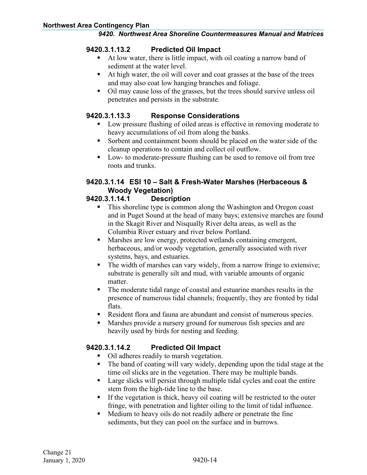#### **9420.3.1.13.2 Predicted Oil Impact**

- At low water, there is little impact, with oil coating a narrow band of sediment at the water level.
- At high water, the oil will cover and coat grasses at the base of the trees and may also coat low hanging branches and foliage.
- Oil may cause loss of the grasses, but the trees should survive unless oil penetrates and persists in the substrate.

#### **9420.3.1.13.3 Response Considerations**

- Low pressure flushing of oiled areas is effective in removing moderate to heavy accumulations of oil from along the banks.
- Sorbent and containment boom should be placed on the water side of the cleanup operations to contain and collect oil outflow.
- Low- to moderate-pressure flushing can be used to remove oil from tree roots and trunks.

# <span id="page-19-0"></span>**9420.3.1.14 ESI 10 – Salt & Fresh-Water Marshes (Herbaceous & Woody Vegetation)**

#### **9420.3.1.14.1 Description**

- This shoreline type is common along the Washington and Oregon coast and in Puget Sound at the head of many bays; extensive marches are found in the Skagit River and Nisqually River delta areas, as well as the Columbia River estuary and river below Portland.
- Marshes are low energy, protected wetlands containing emergent, herbaceous, and/or woody vegetation, generally associated with river systems, bays, and estuaries.
- The width of marshes can vary widely, from a narrow fringe to extensive; substrate is generally silt and mud, with variable amounts of organic matter.
- The moderate tidal range of coastal and estuarine marshes results in the presence of numerous tidal channels; frequently, they are fronted by tidal flats.
- Resident flora and fauna are abundant and consist of numerous species.
- Marshes provide a nursery ground for numerous fish species and are heavily used by birds for nesting and feeding.

### **9420.3.1.14.2 Predicted Oil Impact**

- Oil adheres readily to marsh vegetation.
- The band of coating will vary widely, depending upon the tidal stage at the time oil slicks are in the vegetation. There may be multiple bands.
- Large slicks will persist through multiple tidal cycles and coat the entire stem from the high-tide line to the base.
- If the vegetation is thick, heavy oil coating will be restricted to the outer fringe, with penetration and lighter oiling to the limit of tidal influence.
- Medium to heavy oils do not readily adhere or penetrate the fine sediments, but they can pool on the surface and in burrows.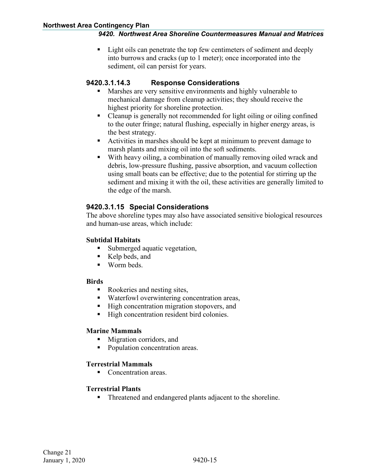Light oils can penetrate the top few centimeters of sediment and deeply into burrows and cracks (up to 1 meter); once incorporated into the sediment, oil can persist for years.

#### **9420.3.1.14.3 Response Considerations**

- **Marshes are very sensitive environments and highly vulnerable to** mechanical damage from cleanup activities; they should receive the highest priority for shoreline protection.
- Cleanup is generally not recommended for light oiling or oiling confined to the outer fringe; natural flushing, especially in higher energy areas, is the best strategy.
- Activities in marshes should be kept at minimum to prevent damage to marsh plants and mixing oil into the soft sediments.
- With heavy oiling, a combination of manually removing oiled wrack and debris, low-pressure flushing, passive absorption, and vacuum collection using small boats can be effective; due to the potential for stirring up the sediment and mixing it with the oil, these activities are generally limited to the edge of the marsh.

#### <span id="page-20-0"></span>**9420.3.1.15 Special Considerations**

The above shoreline types may also have associated sensitive biological resources and human-use areas, which include:

#### **Subtidal Habitats**

- Submerged aquatic vegetation,
- Kelp beds, and
- **Worm beds.**

#### **Birds**

- Rookeries and nesting sites,
- Waterfowl overwintering concentration areas,
- High concentration migration stopovers, and
- High concentration resident bird colonies.

#### **Marine Mammals**

- **Migration corridors, and**
- Population concentration areas.

#### **Terrestrial Mammals**

■ Concentration areas.

#### **Terrestrial Plants**

■ Threatened and endangered plants adjacent to the shoreline.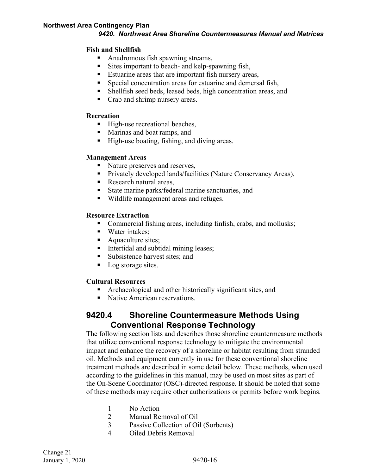#### **Fish and Shellfish**

- Anadromous fish spawning streams,
- Sites important to beach- and kelp-spawning fish,
- **Estuarine areas that are important fish nursery areas,**
- Special concentration areas for estuarine and demersal fish,
- Shellfish seed beds, leased beds, high concentration areas, and
- Crab and shrimp nursery areas.

#### **Recreation**

- High-use recreational beaches,
- **Marinas and boat ramps, and**
- High-use boating, fishing, and diving areas.

#### **Management Areas**

- Nature preserves and reserves,
- **Privately developed lands/facilities (Nature Conservancy Areas),**
- Research natural areas,
- State marine parks/federal marine sanctuaries, and
- Wildlife management areas and refuges.

#### **Resource Extraction**

- Commercial fishing areas, including finfish, crabs, and mollusks;
- Water intakes;
- Aquaculture sites;
- Intertidal and subtidal mining leases;
- Subsistence harvest sites; and
- Log storage sites.

#### **Cultural Resources**

- Archaeological and other historically significant sites, and
- Native American reservations.

# <span id="page-21-0"></span>**9420.4 Shoreline Countermeasure Methods Using Conventional Response Technology**

The following section lists and describes those shoreline countermeasure methods that utilize conventional response technology to mitigate the environmental impact and enhance the recovery of a shoreline or habitat resulting from stranded oil. Methods and equipment currently in use for these conventional shoreline treatment methods are described in some detail below. These methods, when used according to the guidelines in this manual, may be used on most sites as part of the On-Scene Coordinator (OSC)-directed response. It should be noted that some of these methods may require other authorizations or permits before work begins.

- 1 No Action
- 2 Manual Removal of Oil
- 3 Passive Collection of Oil (Sorbents)
- 4 Oiled Debris Removal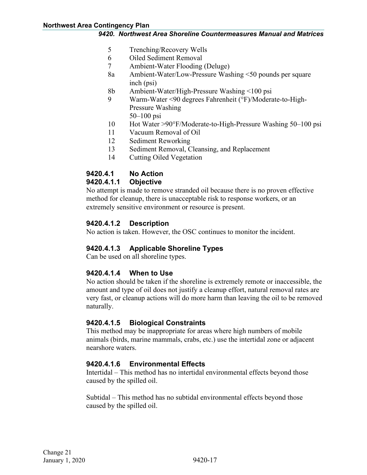- 5 Trenching/Recovery Wells
- 6 Oiled Sediment Removal
- 7 Ambient-Water Flooding (Deluge)
- 8a Ambient-Water/Low-Pressure Washing <50 pounds per square inch (psi)
- 8b Ambient-Water/High-Pressure Washing <100 psi
- 9 Warm-Water <90 degrees Fahrenheit (°F)/Moderate-to-High-Pressure Washing 50–100 psi
- 10 Hot Water >90°F/Moderate-to-High-Pressure Washing 50–100 psi
- 11 Vacuum Removal of Oil
- 12 Sediment Reworking
- 13 Sediment Removal, Cleansing, and Replacement
- 14 Cutting Oiled Vegetation

#### <span id="page-22-0"></span>**9420.4.1 No Action**

#### <span id="page-22-1"></span>**9420.4.1.1 Objective**

No attempt is made to remove stranded oil because there is no proven effective method for cleanup, there is unacceptable risk to response workers, or an extremely sensitive environment or resource is present.

#### <span id="page-22-2"></span>**9420.4.1.2 Description**

No action is taken. However, the OSC continues to monitor the incident.

#### <span id="page-22-3"></span>**9420.4.1.3 Applicable Shoreline Types**

Can be used on all shoreline types.

### <span id="page-22-4"></span>**9420.4.1.4 When to Use**

No action should be taken if the shoreline is extremely remote or inaccessible, the amount and type of oil does not justify a cleanup effort, natural removal rates are very fast, or cleanup actions will do more harm than leaving the oil to be removed naturally.

#### <span id="page-22-5"></span>**9420.4.1.5 Biological Constraints**

This method may be inappropriate for areas where high numbers of mobile animals (birds, marine mammals, crabs, etc.) use the intertidal zone or adjacent nearshore waters.

#### <span id="page-22-6"></span>**9420.4.1.6 Environmental Effects**

Intertidal – This method has no intertidal environmental effects beyond those caused by the spilled oil.

Subtidal – This method has no subtidal environmental effects beyond those caused by the spilled oil.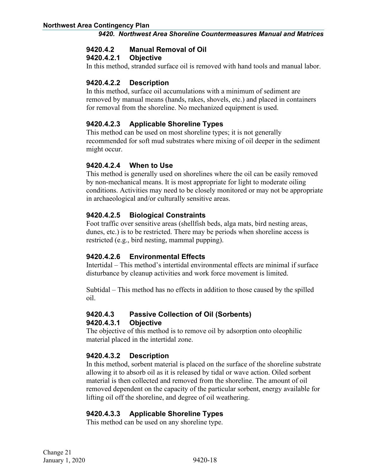#### <span id="page-23-0"></span>**9420.4.2 Manual Removal of Oil**

#### <span id="page-23-1"></span>**9420.4.2.1 Objective**

In this method, stranded surface oil is removed with hand tools and manual labor.

#### <span id="page-23-2"></span>**9420.4.2.2 Description**

In this method, surface oil accumulations with a minimum of sediment are removed by manual means (hands, rakes, shovels, etc.) and placed in containers for removal from the shoreline. No mechanized equipment is used.

#### <span id="page-23-3"></span>**9420.4.2.3 Applicable Shoreline Types**

This method can be used on most shoreline types; it is not generally recommended for soft mud substrates where mixing of oil deeper in the sediment might occur.

#### <span id="page-23-4"></span>**9420.4.2.4 When to Use**

This method is generally used on shorelines where the oil can be easily removed by non-mechanical means. It is most appropriate for light to moderate oiling conditions. Activities may need to be closely monitored or may not be appropriate in archaeological and/or culturally sensitive areas.

#### <span id="page-23-5"></span>**9420.4.2.5 Biological Constraints**

Foot traffic over sensitive areas (shellfish beds, alga mats, bird nesting areas, dunes, etc.) is to be restricted. There may be periods when shoreline access is restricted (e.g., bird nesting, mammal pupping).

#### <span id="page-23-6"></span>**9420.4.2.6 Environmental Effects**

Intertidal – This method's intertidal environmental effects are minimal if surface disturbance by cleanup activities and work force movement is limited.

Subtidal – This method has no effects in addition to those caused by the spilled oil.

# <span id="page-23-7"></span>**9420.4.3 Passive Collection of Oil (Sorbents)**

#### <span id="page-23-8"></span>**9420.4.3.1 Objective**

The objective of this method is to remove oil by adsorption onto oleophilic material placed in the intertidal zone.

### <span id="page-23-9"></span>**9420.4.3.2 Description**

In this method, sorbent material is placed on the surface of the shoreline substrate allowing it to absorb oil as it is released by tidal or wave action. Oiled sorbent material is then collected and removed from the shoreline. The amount of oil removed dependent on the capacity of the particular sorbent, energy available for lifting oil off the shoreline, and degree of oil weathering.

### <span id="page-23-10"></span>**9420.4.3.3 Applicable Shoreline Types**

This method can be used on any shoreline type.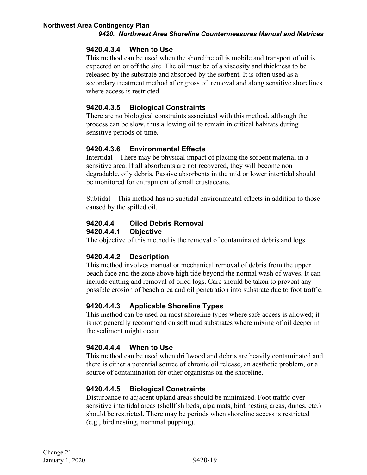#### <span id="page-24-0"></span>**9420.4.3.4 When to Use**

This method can be used when the shoreline oil is mobile and transport of oil is expected on or off the site. The oil must be of a viscosity and thickness to be released by the substrate and absorbed by the sorbent. It is often used as a secondary treatment method after gross oil removal and along sensitive shorelines where access is restricted.

#### <span id="page-24-1"></span>**9420.4.3.5 Biological Constraints**

There are no biological constraints associated with this method, although the process can be slow, thus allowing oil to remain in critical habitats during sensitive periods of time.

#### <span id="page-24-2"></span>**9420.4.3.6 Environmental Effects**

Intertidal – There may be physical impact of placing the sorbent material in a sensitive area. If all absorbents are not recovered, they will become non degradable, oily debris. Passive absorbents in the mid or lower intertidal should be monitored for entrapment of small crustaceans.

Subtidal – This method has no subtidal environmental effects in addition to those caused by the spilled oil.

#### <span id="page-24-3"></span>**9420.4.4 Oiled Debris Removal**

#### <span id="page-24-4"></span>**9420.4.4.1 Objective**

The objective of this method is the removal of contaminated debris and logs.

#### <span id="page-24-5"></span>**9420.4.4.2 Description**

This method involves manual or mechanical removal of debris from the upper beach face and the zone above high tide beyond the normal wash of waves. It can include cutting and removal of oiled logs. Care should be taken to prevent any possible erosion of beach area and oil penetration into substrate due to foot traffic.

#### <span id="page-24-6"></span>**9420.4.4.3 Applicable Shoreline Types**

This method can be used on most shoreline types where safe access is allowed; it is not generally recommend on soft mud substrates where mixing of oil deeper in the sediment might occur.

#### <span id="page-24-7"></span>**9420.4.4.4 When to Use**

This method can be used when driftwood and debris are heavily contaminated and there is either a potential source of chronic oil release, an aesthetic problem, or a source of contamination for other organisms on the shoreline.

#### <span id="page-24-8"></span>**9420.4.4.5 Biological Constraints**

Disturbance to adjacent upland areas should be minimized. Foot traffic over sensitive intertidal areas (shellfish beds, alga mats, bird nesting areas, dunes, etc.) should be restricted. There may be periods when shoreline access is restricted (e.g., bird nesting, mammal pupping).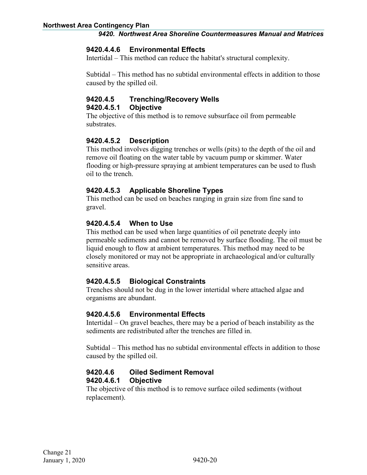#### <span id="page-25-0"></span>**9420.4.4.6 Environmental Effects**

Intertidal – This method can reduce the habitat's structural complexity.

Subtidal – This method has no subtidal environmental effects in addition to those caused by the spilled oil.

# <span id="page-25-1"></span>**9420.4.5 Trenching/Recovery Wells**

#### <span id="page-25-2"></span>**9420.4.5.1 Objective**

The objective of this method is to remove subsurface oil from permeable substrates.

#### <span id="page-25-3"></span>**9420.4.5.2 Description**

This method involves digging trenches or wells (pits) to the depth of the oil and remove oil floating on the water table by vacuum pump or skimmer. Water flooding or high-pressure spraying at ambient temperatures can be used to flush oil to the trench.

#### <span id="page-25-4"></span>**9420.4.5.3 Applicable Shoreline Types**

This method can be used on beaches ranging in grain size from fine sand to gravel.

#### <span id="page-25-5"></span>**9420.4.5.4 When to Use**

This method can be used when large quantities of oil penetrate deeply into permeable sediments and cannot be removed by surface flooding. The oil must be liquid enough to flow at ambient temperatures. This method may need to be closely monitored or may not be appropriate in archaeological and/or culturally sensitive areas.

#### <span id="page-25-6"></span>**9420.4.5.5 Biological Constraints**

Trenches should not be dug in the lower intertidal where attached algae and organisms are abundant.

#### <span id="page-25-7"></span>**9420.4.5.6 Environmental Effects**

Intertidal – On gravel beaches, there may be a period of beach instability as the sediments are redistributed after the trenches are filled in.

Subtidal – This method has no subtidal environmental effects in addition to those caused by the spilled oil.

#### <span id="page-25-9"></span><span id="page-25-8"></span>**9420.4.6 Oiled Sediment Removal 9420.4.6.1 Objective**

The objective of this method is to remove surface oiled sediments (without replacement).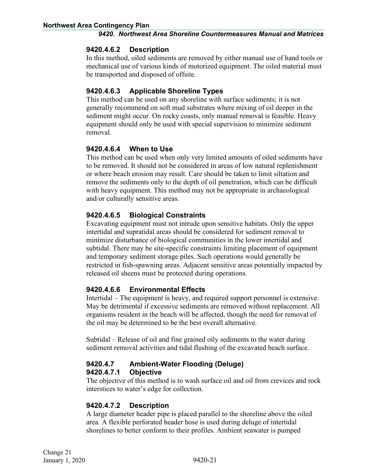#### <span id="page-26-0"></span>**9420.4.6.2 Description**

In this method, oiled sediments are removed by either manual use of hand tools or mechanical use of various kinds of motorized equipment. The oiled material must be transported and disposed of offsite.

### <span id="page-26-1"></span>**9420.4.6.3 Applicable Shoreline Types**

This method can be used on any shoreline with surface sediments; it is not generally recommend on soft mud substrates where mixing of oil deeper in the sediment might occur. On rocky coasts, only manual removal is feasible. Heavy equipment should only be used with special supervision to minimize sediment removal.

#### <span id="page-26-2"></span>**9420.4.6.4 When to Use**

This method can be used when only very limited amounts of oiled sediments have to be removed. It should not be considered in areas of low natural replenishment or where beach erosion may result. Care should be taken to limit siltation and remove the sediments only to the depth of oil penetration, which can be difficult with heavy equipment. This method may not be appropriate in archaeological and/or culturally sensitive areas.

### <span id="page-26-3"></span>**9420.4.6.5 Biological Constraints**

Excavating equipment must not intrude upon sensitive habitats. Only the upper intertidal and supratidal areas should be considered for sediment removal to minimize disturbance of biological communities in the lower intertidal and subtidal. There may be site-specific constraints limiting placement of equipment and temporary sediment storage piles. Such operations would generally be restricted in fish-spawning areas. Adjacent sensitive areas potentially impacted by released oil sheens must be protected during operations.

### <span id="page-26-4"></span>**9420.4.6.6 Environmental Effects**

Intertidal – The equipment is heavy, and required support personnel is extensive. May be detrimental if excessive sediments are removed without replacement. All organisms resident in the beach will be affected, though the need for removal of the oil may be determined to be the best overall alternative.

Subtidal – Release of oil and fine grained oily sediments to the water during sediment removal activities and tidal flushing of the excavated beach surface.

#### <span id="page-26-6"></span><span id="page-26-5"></span>**9420.4.7 Ambient-Water Flooding (Deluge) 9420.4.7.1 Objective**

The objective of this method is to wash surface oil and oil from crevices and rock interstices to water's edge for collection.

### <span id="page-26-7"></span>**9420.4.7.2 Description**

A large diameter header pipe is placed parallel to the shoreline above the oiled area. A flexible perforated header hose is used during deluge of intertidal shorelines to better conform to their profiles. Ambient seawater is pumped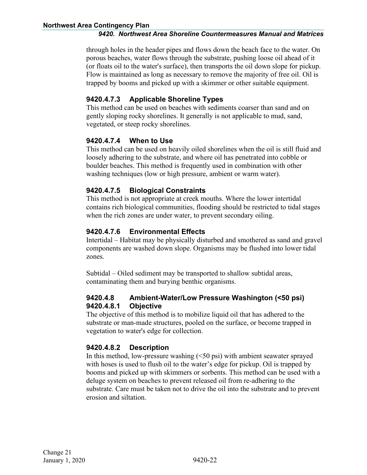through holes in the header pipes and flows down the beach face to the water. On porous beaches, water flows through the substrate, pushing loose oil ahead of it (or floats oil to the water's surface), then transports the oil down slope for pickup. Flow is maintained as long as necessary to remove the majority of free oil. Oil is trapped by booms and picked up with a skimmer or other suitable equipment.

### <span id="page-27-0"></span>**9420.4.7.3 Applicable Shoreline Types**

This method can be used on beaches with sediments coarser than sand and on gently sloping rocky shorelines. It generally is not applicable to mud, sand, vegetated, or steep rocky shorelines.

#### <span id="page-27-1"></span>**9420.4.7.4 When to Use**

This method can be used on heavily oiled shorelines when the oil is still fluid and loosely adhering to the substrate, and where oil has penetrated into cobble or boulder beaches. This method is frequently used in combination with other washing techniques (low or high pressure, ambient or warm water).

#### <span id="page-27-2"></span>**9420.4.7.5 Biological Constraints**

This method is not appropriate at creek mouths. Where the lower intertidal contains rich biological communities, flooding should be restricted to tidal stages when the rich zones are under water, to prevent secondary oiling.

### <span id="page-27-3"></span>**9420.4.7.6 Environmental Effects**

Intertidal – Habitat may be physically disturbed and smothered as sand and gravel components are washed down slope. Organisms may be flushed into lower tidal zones.

Subtidal – Oiled sediment may be transported to shallow subtidal areas, contaminating them and burying benthic organisms.

#### <span id="page-27-5"></span><span id="page-27-4"></span>**9420.4.8 Ambient-Water/Low Pressure Washington (<50 psi) 9420.4.8.1 Objective**

The objective of this method is to mobilize liquid oil that has adhered to the substrate or man-made structures, pooled on the surface, or become trapped in vegetation to water's edge for collection.

### <span id="page-27-6"></span>**9420.4.8.2 Description**

In this method, low-pressure washing  $(50 \text{ psi})$  with ambient seawater sprayed with hoses is used to flush oil to the water's edge for pickup. Oil is trapped by booms and picked up with skimmers or sorbents. This method can be used with a deluge system on beaches to prevent released oil from re-adhering to the substrate. Care must be taken not to drive the oil into the substrate and to prevent erosion and siltation.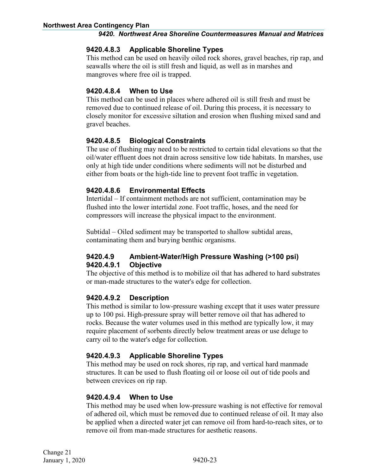#### <span id="page-28-0"></span>**9420.4.8.3 Applicable Shoreline Types**

This method can be used on heavily oiled rock shores, gravel beaches, rip rap, and seawalls where the oil is still fresh and liquid, as well as in marshes and mangroves where free oil is trapped.

#### <span id="page-28-1"></span>**9420.4.8.4 When to Use**

This method can be used in places where adhered oil is still fresh and must be removed due to continued release of oil. During this process, it is necessary to closely monitor for excessive siltation and erosion when flushing mixed sand and gravel beaches.

#### <span id="page-28-2"></span>**9420.4.8.5 Biological Constraints**

The use of flushing may need to be restricted to certain tidal elevations so that the oil/water effluent does not drain across sensitive low tide habitats. In marshes, use only at high tide under conditions where sediments will not be disturbed and either from boats or the high-tide line to prevent foot traffic in vegetation.

#### <span id="page-28-3"></span>**9420.4.8.6 Environmental Effects**

Intertidal – If containment methods are not sufficient, contamination may be flushed into the lower intertidal zone. Foot traffic, hoses, and the need for compressors will increase the physical impact to the environment.

Subtidal – Oiled sediment may be transported to shallow subtidal areas, contaminating them and burying benthic organisms.

#### <span id="page-28-5"></span><span id="page-28-4"></span>**9420.4.9 Ambient-Water/High Pressure Washing (>100 psi) 9420.4.9.1 Objective**

The objective of this method is to mobilize oil that has adhered to hard substrates or man-made structures to the water's edge for collection.

#### <span id="page-28-6"></span>**9420.4.9.2 Description**

This method is similar to low-pressure washing except that it uses water pressure up to 100 psi. High-pressure spray will better remove oil that has adhered to rocks. Because the water volumes used in this method are typically low, it may require placement of sorbents directly below treatment areas or use deluge to carry oil to the water's edge for collection.

#### <span id="page-28-7"></span>**9420.4.9.3 Applicable Shoreline Types**

This method may be used on rock shores, rip rap, and vertical hard manmade structures. It can be used to flush floating oil or loose oil out of tide pools and between crevices on rip rap.

#### <span id="page-28-8"></span>**9420.4.9.4 When to Use**

This method may be used when low-pressure washing is not effective for removal of adhered oil, which must be removed due to continued release of oil. It may also be applied when a directed water jet can remove oil from hard-to-reach sites, or to remove oil from man-made structures for aesthetic reasons.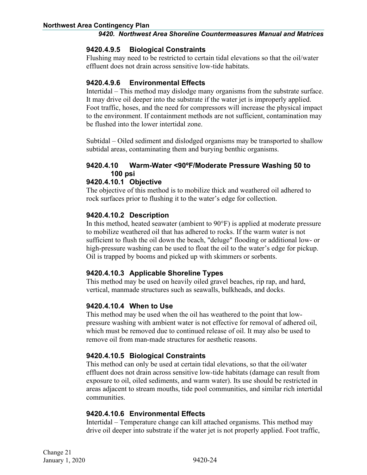#### <span id="page-29-0"></span>**9420.4.9.5 Biological Constraints**

Flushing may need to be restricted to certain tidal elevations so that the oil/water effluent does not drain across sensitive low-tide habitats.

#### <span id="page-29-1"></span>**9420.4.9.6 Environmental Effects**

Intertidal – This method may dislodge many organisms from the substrate surface. It may drive oil deeper into the substrate if the water jet is improperly applied. Foot traffic, hoses, and the need for compressors will increase the physical impact to the environment. If containment methods are not sufficient, contamination may be flushed into the lower intertidal zone.

Subtidal – Oiled sediment and dislodged organisms may be transported to shallow subtidal areas, contaminating them and burying benthic organisms.

#### <span id="page-29-2"></span>**9420.4.10 Warm-Water <90ºF/Moderate Pressure Washing 50 to 100 psi**

#### <span id="page-29-3"></span>**9420.4.10.1 Objective**

The objective of this method is to mobilize thick and weathered oil adhered to rock surfaces prior to flushing it to the water's edge for collection.

#### <span id="page-29-4"></span>**9420.4.10.2 Description**

In this method, heated seawater (ambient to 90°F) is applied at moderate pressure to mobilize weathered oil that has adhered to rocks. If the warm water is not sufficient to flush the oil down the beach, "deluge" flooding or additional low- or high-pressure washing can be used to float the oil to the water's edge for pickup. Oil is trapped by booms and picked up with skimmers or sorbents.

#### <span id="page-29-5"></span>**9420.4.10.3 Applicable Shoreline Types**

This method may be used on heavily oiled gravel beaches, rip rap, and hard, vertical, manmade structures such as seawalls, bulkheads, and docks.

#### <span id="page-29-6"></span>**9420.4.10.4 When to Use**

This method may be used when the oil has weathered to the point that lowpressure washing with ambient water is not effective for removal of adhered oil, which must be removed due to continued release of oil. It may also be used to remove oil from man-made structures for aesthetic reasons.

#### <span id="page-29-7"></span>**9420.4.10.5 Biological Constraints**

This method can only be used at certain tidal elevations, so that the oil/water effluent does not drain across sensitive low-tide habitats (damage can result from exposure to oil, oiled sediments, and warm water). Its use should be restricted in areas adjacent to stream mouths, tide pool communities, and similar rich intertidal communities.

#### <span id="page-29-8"></span>**9420.4.10.6 Environmental Effects**

Intertidal – Temperature change can kill attached organisms. This method may drive oil deeper into substrate if the water jet is not properly applied. Foot traffic,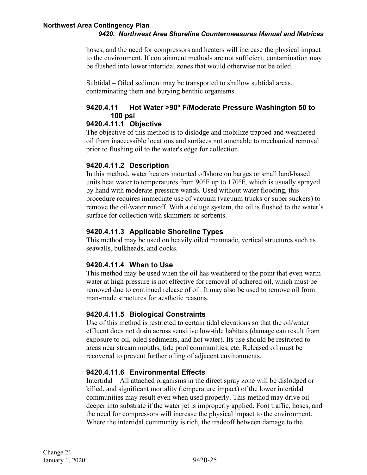hoses, and the need for compressors and heaters will increase the physical impact to the environment. If containment methods are not sufficient, contamination may be flushed into lower intertidal zones that would otherwise not be oiled.

Subtidal – Oiled sediment may be transported to shallow subtidal areas, contaminating them and burying benthic organisms.

### <span id="page-30-0"></span>**9420.4.11 Hot Water >90º F/Moderate Pressure Washington 50 to 100 psi**

#### <span id="page-30-1"></span>**9420.4.11.1 Objective**

The objective of this method is to dislodge and mobilize trapped and weathered oil from inaccessible locations and surfaces not amenable to mechanical removal prior to flushing oil to the water's edge for collection.

#### <span id="page-30-2"></span>**9420.4.11.2 Description**

In this method, water heaters mounted offshore on barges or small land-based units heat water to temperatures from 90°F up to 170°F, which is usually sprayed by hand with moderate-pressure wands. Used without water flooding, this procedure requires immediate use of vacuum (vacuum trucks or super suckers) to remove the oil/water runoff. With a deluge system, the oil is flushed to the water's surface for collection with skimmers or sorbents.

#### <span id="page-30-3"></span>**9420.4.11.3 Applicable Shoreline Types**

This method may be used on heavily oiled manmade, vertical structures such as seawalls, bulkheads, and docks.

#### <span id="page-30-4"></span>**9420.4.11.4 When to Use**

This method may be used when the oil has weathered to the point that even warm water at high pressure is not effective for removal of adhered oil, which must be removed due to continued release of oil. It may also be used to remove oil from man-made structures for aesthetic reasons.

#### <span id="page-30-5"></span>**9420.4.11.5 Biological Constraints**

Use of this method is restricted to certain tidal elevations so that the oil/water effluent does not drain across sensitive low-tide habitats (damage can result from exposure to oil, oiled sediments, and hot water). Its use should be restricted to areas near stream mouths, tide pool communities, etc. Released oil must be recovered to prevent further oiling of adjacent environments.

#### <span id="page-30-6"></span>**9420.4.11.6 Environmental Effects**

Intertidal – All attached organisms in the direct spray zone will be dislodged or killed, and significant mortality (temperature impact) of the lower intertidal communities may result even when used properly. This method may drive oil deeper into substrate if the water jet is improperly applied. Foot traffic, hoses, and the need for compressors will increase the physical impact to the environment. Where the intertidal community is rich, the tradeoff between damage to the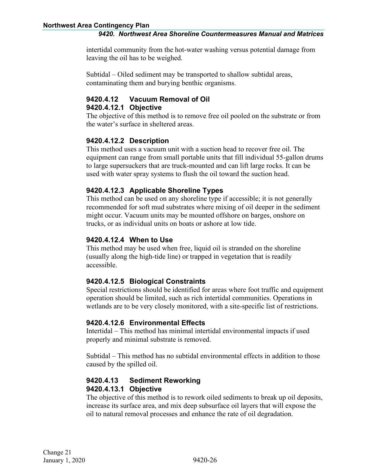intertidal community from the hot-water washing versus potential damage from leaving the oil has to be weighed.

Subtidal – Oiled sediment may be transported to shallow subtidal areas, contaminating them and burying benthic organisms.

#### <span id="page-31-1"></span><span id="page-31-0"></span>**9420.4.12 Vacuum Removal of Oil 9420.4.12.1 Objective**

The objective of this method is to remove free oil pooled on the substrate or from the water's surface in sheltered areas.

### <span id="page-31-2"></span>**9420.4.12.2 Description**

This method uses a vacuum unit with a suction head to recover free oil. The equipment can range from small portable units that fill individual 55-gallon drums to large supersuckers that are truck-mounted and can lift large rocks. It can be used with water spray systems to flush the oil toward the suction head.

#### <span id="page-31-3"></span>**9420.4.12.3 Applicable Shoreline Types**

This method can be used on any shoreline type if accessible; it is not generally recommended for soft mud substrates where mixing of oil deeper in the sediment might occur. Vacuum units may be mounted offshore on barges, onshore on trucks, or as individual units on boats or ashore at low tide.

#### <span id="page-31-4"></span>**9420.4.12.4 When to Use**

This method may be used when free, liquid oil is stranded on the shoreline (usually along the high-tide line) or trapped in vegetation that is readily accessible.

#### <span id="page-31-5"></span>**9420.4.12.5 Biological Constraints**

Special restrictions should be identified for areas where foot traffic and equipment operation should be limited, such as rich intertidal communities. Operations in wetlands are to be very closely monitored, with a site-specific list of restrictions.

#### <span id="page-31-6"></span>**9420.4.12.6 Environmental Effects**

Intertidal – This method has minimal intertidal environmental impacts if used properly and minimal substrate is removed.

Subtidal – This method has no subtidal environmental effects in addition to those caused by the spilled oil.

#### <span id="page-31-8"></span><span id="page-31-7"></span>**9420.4.13 Sediment Reworking 9420.4.13.1 Objective**

The objective of this method is to rework oiled sediments to break up oil deposits, increase its surface area, and mix deep subsurface oil layers that will expose the oil to natural removal processes and enhance the rate of oil degradation.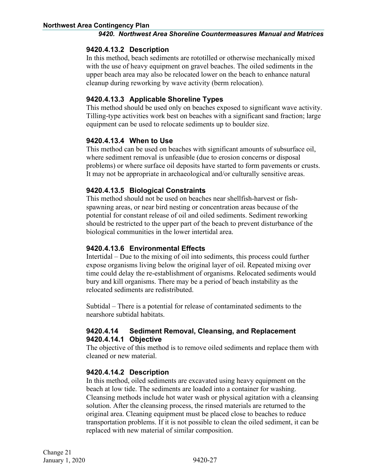#### <span id="page-32-0"></span>**9420.4.13.2 Description**

In this method, beach sediments are rototilled or otherwise mechanically mixed with the use of heavy equipment on gravel beaches. The oiled sediments in the upper beach area may also be relocated lower on the beach to enhance natural cleanup during reworking by wave activity (berm relocation).

#### <span id="page-32-1"></span>**9420.4.13.3 Applicable Shoreline Types**

This method should be used only on beaches exposed to significant wave activity. Tilling-type activities work best on beaches with a significant sand fraction; large equipment can be used to relocate sediments up to boulder size.

#### <span id="page-32-2"></span>**9420.4.13.4 When to Use**

This method can be used on beaches with significant amounts of subsurface oil, where sediment removal is unfeasible (due to erosion concerns or disposal problems) or where surface oil deposits have started to form pavements or crusts. It may not be appropriate in archaeological and/or culturally sensitive areas.

#### <span id="page-32-3"></span>**9420.4.13.5 Biological Constraints**

This method should not be used on beaches near shellfish-harvest or fishspawning areas, or near bird nesting or concentration areas because of the potential for constant release of oil and oiled sediments. Sediment reworking should be restricted to the upper part of the beach to prevent disturbance of the biological communities in the lower intertidal area.

#### <span id="page-32-4"></span>**9420.4.13.6 Environmental Effects**

Intertidal – Due to the mixing of oil into sediments, this process could further expose organisms living below the original layer of oil. Repeated mixing over time could delay the re-establishment of organisms. Relocated sediments would bury and kill organisms. There may be a period of beach instability as the relocated sediments are redistributed.

Subtidal – There is a potential for release of contaminated sediments to the nearshore subtidal habitats.

#### <span id="page-32-6"></span><span id="page-32-5"></span>**9420.4.14 Sediment Removal, Cleansing, and Replacement 9420.4.14.1 Objective**

The objective of this method is to remove oiled sediments and replace them with cleaned or new material.

#### <span id="page-32-7"></span>**9420.4.14.2 Description**

In this method, oiled sediments are excavated using heavy equipment on the beach at low tide. The sediments are loaded into a container for washing. Cleansing methods include hot water wash or physical agitation with a cleansing solution. After the cleansing process, the rinsed materials are returned to the original area. Cleaning equipment must be placed close to beaches to reduce transportation problems. If it is not possible to clean the oiled sediment, it can be replaced with new material of similar composition.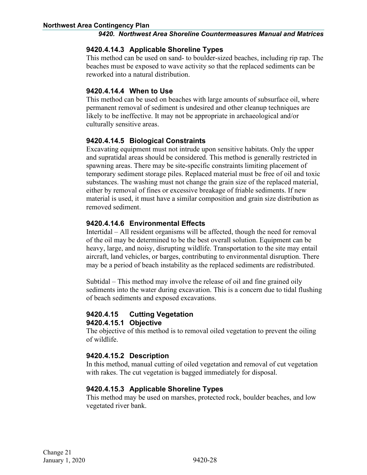#### <span id="page-33-0"></span>**9420.4.14.3 Applicable Shoreline Types**

This method can be used on sand- to boulder-sized beaches, including rip rap. The beaches must be exposed to wave activity so that the replaced sediments can be reworked into a natural distribution.

#### <span id="page-33-1"></span>**9420.4.14.4 When to Use**

This method can be used on beaches with large amounts of subsurface oil, where permanent removal of sediment is undesired and other cleanup techniques are likely to be ineffective. It may not be appropriate in archaeological and/or culturally sensitive areas.

#### <span id="page-33-2"></span>**9420.4.14.5 Biological Constraints**

Excavating equipment must not intrude upon sensitive habitats. Only the upper and supratidal areas should be considered. This method is generally restricted in spawning areas. There may be site-specific constraints limiting placement of temporary sediment storage piles. Replaced material must be free of oil and toxic substances. The washing must not change the grain size of the replaced material, either by removal of fines or excessive breakage of friable sediments. If new material is used, it must have a similar composition and grain size distribution as removed sediment.

#### <span id="page-33-3"></span>**9420.4.14.6 Environmental Effects**

Intertidal – All resident organisms will be affected, though the need for removal of the oil may be determined to be the best overall solution. Equipment can be heavy, large, and noisy, disrupting wildlife. Transportation to the site may entail aircraft, land vehicles, or barges, contributing to environmental disruption. There may be a period of beach instability as the replaced sediments are redistributed.

Subtidal – This method may involve the release of oil and fine grained oily sediments into the water during excavation. This is a concern due to tidal flushing of beach sediments and exposed excavations.

#### <span id="page-33-5"></span><span id="page-33-4"></span>**9420.4.15 Cutting Vegetation 9420.4.15.1 Objective**

The objective of this method is to removal oiled vegetation to prevent the oiling of wildlife.

#### <span id="page-33-6"></span>**9420.4.15.2 Description**

In this method, manual cutting of oiled vegetation and removal of cut vegetation with rakes. The cut vegetation is bagged immediately for disposal.

#### <span id="page-33-7"></span>**9420.4.15.3 Applicable Shoreline Types**

This method may be used on marshes, protected rock, boulder beaches, and low vegetated river bank.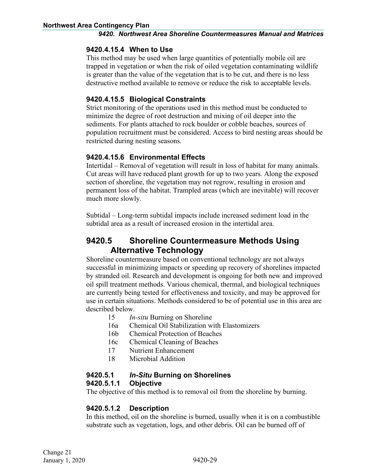#### <span id="page-34-0"></span>**9420.4.15.4 When to Use**

This method may be used when large quantities of potentially mobile oil are trapped in vegetation or when the risk of oiled vegetation contaminating wildlife is greater than the value of the vegetation that is to be cut, and there is no less destructive method available to remove or reduce the risk to acceptable levels.

#### <span id="page-34-1"></span>**9420.4.15.5 Biological Constraints**

Strict monitoring of the operations used in this method must be conducted to minimize the degree of root destruction and mixing of oil deeper into the sediments. For plants attached to rock boulder or cobble beaches, sources of population recruitment must be considered. Access to bird nesting areas should be restricted during nesting seasons.

#### <span id="page-34-2"></span>**9420.4.15.6 Environmental Effects**

Intertidal – Removal of vegetation will result in loss of habitat for many animals. Cut areas will have reduced plant growth for up to two years. Along the exposed section of shoreline, the vegetation may not regrow, resulting in erosion and permanent loss of the habitat. Trampled areas (which are inevitable) will recover much more slowly.

Subtidal – Long-term subtidal impacts include increased sediment load in the subtidal area as a result of increased erosion in the intertidal area.

# <span id="page-34-3"></span>**9420.5 Shoreline Countermeasure Methods Using Alternative Technology**

Shoreline countermeasure based on conventional technology are not always successful in minimizing impacts or speeding up recovery of shorelines impacted by stranded oil. Research and development is ongoing for both new and improved oil spill treatment methods. Various chemical, thermal, and biological techniques are currently being tested for effectiveness and toxicity, and may be approved for use in certain situations. Methods considered to be of potential use in this area are described below.

- 15 *In-situ* Burning on Shoreline
- 16a Chemical Oil Stabilization with Elastomizers
- 16b Chemical Protection of Beaches
- 16c Chemical Cleaning of Beaches
- 17 Nutrient Enhancement
- 18 Microbial Addition

### <span id="page-34-4"></span>**9420.5.1** *In-Situ* **Burning on Shorelines**

#### <span id="page-34-5"></span>**9420.5.1.1 Objective**

The objective of this method is to removal oil from the shoreline by burning.

#### <span id="page-34-6"></span>**9420.5.1.2 Description**

In this method, oil on the shoreline is burned, usually when it is on a combustible substrate such as vegetation, logs, and other debris. Oil can be burned off of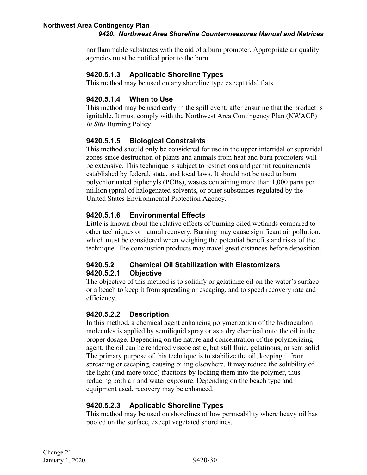nonflammable substrates with the aid of a burn promoter. Appropriate air quality agencies must be notified prior to the burn.

#### <span id="page-35-0"></span>**9420.5.1.3 Applicable Shoreline Types**

This method may be used on any shoreline type except tidal flats.

#### <span id="page-35-1"></span>**9420.5.1.4 When to Use**

This method may be used early in the spill event, after ensuring that the product is ignitable. It must comply with the Northwest Area Contingency Plan (NWACP) *In Situ* Burning Policy.

### <span id="page-35-2"></span>**9420.5.1.5 Biological Constraints**

This method should only be considered for use in the upper intertidal or supratidal zones since destruction of plants and animals from heat and burn promoters will be extensive. This technique is subject to restrictions and permit requirements established by federal, state, and local laws. It should not be used to burn polychlorinated biphenyls (PCBs), wastes containing more than 1,000 parts per million (ppm) of halogenated solvents, or other substances regulated by the United States Environmental Protection Agency.

#### <span id="page-35-3"></span>**9420.5.1.6 Environmental Effects**

Little is known about the relative effects of burning oiled wetlands compared to other techniques or natural recovery. Burning may cause significant air pollution, which must be considered when weighing the potential benefits and risks of the technique. The combustion products may travel great distances before deposition.

#### <span id="page-35-5"></span><span id="page-35-4"></span>**9420.5.2 Chemical Oil Stabilization with Elastomizers 9420.5.2.1 Objective**

The objective of this method is to solidify or gelatinize oil on the water's surface or a beach to keep it from spreading or escaping, and to speed recovery rate and efficiency.

#### <span id="page-35-6"></span>**9420.5.2.2 Description**

In this method, a chemical agent enhancing polymerization of the hydrocarbon molecules is applied by semiliquid spray or as a dry chemical onto the oil in the proper dosage. Depending on the nature and concentration of the polymerizing agent, the oil can be rendered viscoelastic, but still fluid, gelatinous, or semisolid. The primary purpose of this technique is to stabilize the oil, keeping it from spreading or escaping, causing oiling elsewhere. It may reduce the solubility of the light (and more toxic) fractions by locking them into the polymer, thus reducing both air and water exposure. Depending on the beach type and equipment used, recovery may be enhanced.

### <span id="page-35-7"></span>**9420.5.2.3 Applicable Shoreline Types**

This method may be used on shorelines of low permeability where heavy oil has pooled on the surface, except vegetated shorelines.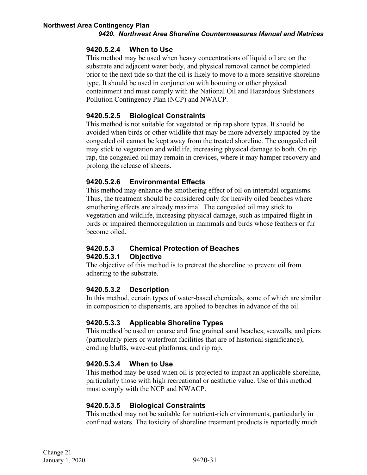#### <span id="page-36-0"></span>**9420.5.2.4 When to Use**

This method may be used when heavy concentrations of liquid oil are on the substrate and adjacent water body, and physical removal cannot be completed prior to the next tide so that the oil is likely to move to a more sensitive shoreline type. It should be used in conjunction with booming or other physical containment and must comply with the National Oil and Hazardous Substances Pollution Contingency Plan (NCP) and NWACP.

#### <span id="page-36-1"></span>**9420.5.2.5 Biological Constraints**

This method is not suitable for vegetated or rip rap shore types. It should be avoided when birds or other wildlife that may be more adversely impacted by the congealed oil cannot be kept away from the treated shoreline. The congealed oil may stick to vegetation and wildlife, increasing physical damage to both. On rip rap, the congealed oil may remain in crevices, where it may hamper recovery and prolong the release of sheens.

#### <span id="page-36-2"></span>**9420.5.2.6 Environmental Effects**

This method may enhance the smothering effect of oil on intertidal organisms. Thus, the treatment should be considered only for heavily oiled beaches where smothering effects are already maximal. The congealed oil may stick to vegetation and wildlife, increasing physical damage, such as impaired flight in birds or impaired thermoregulation in mammals and birds whose feathers or fur become oiled.

#### <span id="page-36-4"></span><span id="page-36-3"></span>**9420.5.3 Chemical Protection of Beaches 9420.5.3.1 Objective**

The objective of this method is to pretreat the shoreline to prevent oil from adhering to the substrate.

#### <span id="page-36-5"></span>**9420.5.3.2 Description**

In this method, certain types of water-based chemicals, some of which are similar in composition to dispersants, are applied to beaches in advance of the oil.

#### <span id="page-36-6"></span>**9420.5.3.3 Applicable Shoreline Types**

This method be used on coarse and fine grained sand beaches, seawalls, and piers (particularly piers or waterfront facilities that are of historical significance), eroding bluffs, wave-cut platforms, and rip rap.

#### <span id="page-36-7"></span>**9420.5.3.4 When to Use**

This method may be used when oil is projected to impact an applicable shoreline, particularly those with high recreational or aesthetic value. Use of this method must comply with the NCP and NWACP.

#### <span id="page-36-8"></span>**9420.5.3.5 Biological Constraints**

This method may not be suitable for nutrient-rich environments, particularly in confined waters. The toxicity of shoreline treatment products is reportedly much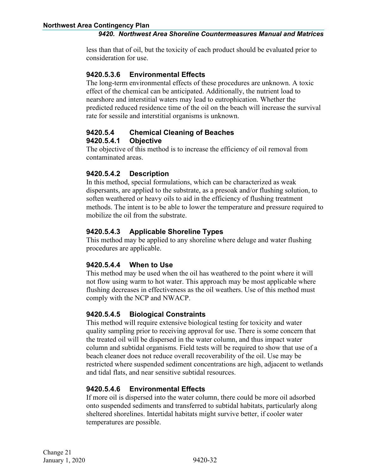less than that of oil, but the toxicity of each product should be evaluated prior to consideration for use.

#### <span id="page-37-0"></span>**9420.5.3.6 Environmental Effects**

The long-term environmental effects of these procedures are unknown. A toxic effect of the chemical can be anticipated. Additionally, the nutrient load to nearshore and interstitial waters may lead to eutrophication. Whether the predicted reduced residence time of the oil on the beach will increase the survival rate for sessile and interstitial organisms is unknown.

#### <span id="page-37-2"></span><span id="page-37-1"></span>**9420.5.4 Chemical Cleaning of Beaches 9420.5.4.1 Objective**

The objective of this method is to increase the efficiency of oil removal from contaminated areas.

#### <span id="page-37-3"></span>**9420.5.4.2 Description**

In this method, special formulations, which can be characterized as weak dispersants, are applied to the substrate, as a presoak and/or flushing solution, to soften weathered or heavy oils to aid in the efficiency of flushing treatment methods. The intent is to be able to lower the temperature and pressure required to mobilize the oil from the substrate.

#### <span id="page-37-4"></span>**9420.5.4.3 Applicable Shoreline Types**

This method may be applied to any shoreline where deluge and water flushing procedures are applicable.

#### <span id="page-37-5"></span>**9420.5.4.4 When to Use**

This method may be used when the oil has weathered to the point where it will not flow using warm to hot water. This approach may be most applicable where flushing decreases in effectiveness as the oil weathers. Use of this method must comply with the NCP and NWACP.

#### <span id="page-37-6"></span>**9420.5.4.5 Biological Constraints**

This method will require extensive biological testing for toxicity and water quality sampling prior to receiving approval for use. There is some concern that the treated oil will be dispersed in the water column, and thus impact water column and subtidal organisms. Field tests will be required to show that use of a beach cleaner does not reduce overall recoverability of the oil. Use may be restricted where suspended sediment concentrations are high, adjacent to wetlands and tidal flats, and near sensitive subtidal resources.

#### <span id="page-37-7"></span>**9420.5.4.6 Environmental Effects**

If more oil is dispersed into the water column, there could be more oil adsorbed onto suspended sediments and transferred to subtidal habitats, particularly along sheltered shorelines. Intertidal habitats might survive better, if cooler water temperatures are possible.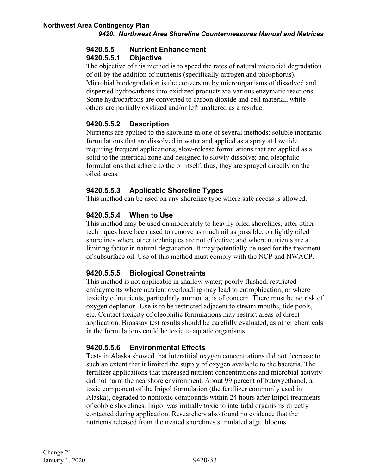# <span id="page-38-0"></span>**9420.5.5 Nutrient Enhancement**

#### <span id="page-38-1"></span>**9420.5.5.1 Objective**

The objective of this method is to speed the rates of natural microbial degradation of oil by the addition of nutrients (specifically nitrogen and phosphorus). Microbial biodegradation is the conversion by microorganisms of dissolved and dispersed hydrocarbons into oxidized products via various enzymatic reactions. Some hydrocarbons are converted to carbon dioxide and cell material, while others are partially oxidized and/or left unaltered as a residue.

### <span id="page-38-2"></span>**9420.5.5.2 Description**

Nutrients are applied to the shoreline in one of several methods: soluble inorganic formulations that are dissolved in water and applied as a spray at low tide, requiring frequent applications; slow-release formulations that are applied as a solid to the intertidal zone and designed to slowly dissolve; and oleophilic formulations that adhere to the oil itself, thus, they are sprayed directly on the oiled areas.

#### <span id="page-38-3"></span>**9420.5.5.3 Applicable Shoreline Types**

This method can be used on any shoreline type where safe access is allowed.

#### <span id="page-38-4"></span>**9420.5.5.4 When to Use**

This method may be used on moderately to heavily oiled shorelines, after other techniques have been used to remove as much oil as possible; on lightly oiled shorelines where other techniques are not effective; and where nutrients are a limiting factor in natural degradation. It may potentially be used for the treatment of subsurface oil. Use of this method must comply with the NCP and NWACP.

### <span id="page-38-5"></span>**9420.5.5.5 Biological Constraints**

This method is not applicable in shallow water; poorly flushed, restricted embayments where nutrient overloading may lead to eutrophication; or where toxicity of nutrients, particularly ammonia, is of concern. There must be no risk of oxygen depletion. Use is to be restricted adjacent to stream mouths, tide pools, etc. Contact toxicity of oleophilic formulations may restrict areas of direct application. Bioassay test results should be carefully evaluated, as other chemicals in the formulations could be toxic to aquatic organisms.

### <span id="page-38-6"></span>**9420.5.5.6 Environmental Effects**

Tests in Alaska showed that interstitial oxygen concentrations did not decrease to such an extent that it limited the supply of oxygen available to the bacteria. The fertilizer applications that increased nutrient concentrations and microbial activity did not harm the nearshore environment. About 99 percent of butoxyethanol, a toxic component of the Inipol formulation (the fertilizer commonly used in Alaska), degraded to nontoxic compounds within 24 hours after Inipol treatments of cobble shorelines. Inipol was initially toxic to intertidal organisms directly contacted during application. Researchers also found no evidence that the nutrients released from the treated shorelines stimulated algal blooms.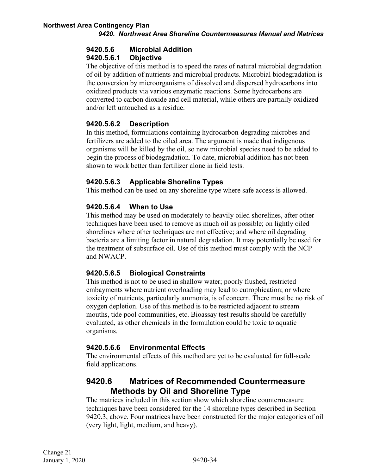# <span id="page-39-0"></span>**9420.5.6 Microbial Addition**

### <span id="page-39-1"></span>**9420.5.6.1 Objective**

The objective of this method is to speed the rates of natural microbial degradation of oil by addition of nutrients and microbial products. Microbial biodegradation is the conversion by microorganisms of dissolved and dispersed hydrocarbons into oxidized products via various enzymatic reactions. Some hydrocarbons are converted to carbon dioxide and cell material, while others are partially oxidized and/or left untouched as a residue.

### <span id="page-39-2"></span>**9420.5.6.2 Description**

In this method, formulations containing hydrocarbon-degrading microbes and fertilizers are added to the oiled area. The argument is made that indigenous organisms will be killed by the oil, so new microbial species need to be added to begin the process of biodegradation. To date, microbial addition has not been shown to work better than fertilizer alone in field tests.

### <span id="page-39-3"></span>**9420.5.6.3 Applicable Shoreline Types**

This method can be used on any shoreline type where safe access is allowed.

### <span id="page-39-4"></span>**9420.5.6.4 When to Use**

This method may be used on moderately to heavily oiled shorelines, after other techniques have been used to remove as much oil as possible; on lightly oiled shorelines where other techniques are not effective; and where oil degrading bacteria are a limiting factor in natural degradation. It may potentially be used for the treatment of subsurface oil. Use of this method must comply with the NCP and NWACP.

### <span id="page-39-5"></span>**9420.5.6.5 Biological Constraints**

This method is not to be used in shallow water; poorly flushed, restricted embayments where nutrient overloading may lead to eutrophication; or where toxicity of nutrients, particularly ammonia, is of concern. There must be no risk of oxygen depletion. Use of this method is to be restricted adjacent to stream mouths, tide pool communities, etc. Bioassay test results should be carefully evaluated, as other chemicals in the formulation could be toxic to aquatic organisms.

### <span id="page-39-6"></span>**9420.5.6.6 Environmental Effects**

The environmental effects of this method are yet to be evaluated for full-scale field applications.

# <span id="page-39-7"></span>**9420.6 Matrices of Recommended Countermeasure Methods by Oil and Shoreline Type**

The matrices included in this section show which shoreline countermeasure techniques have been considered for the 14 shoreline types described in Section 9420.3, above. Four matrices have been constructed for the major categories of oil (very light, light, medium, and heavy).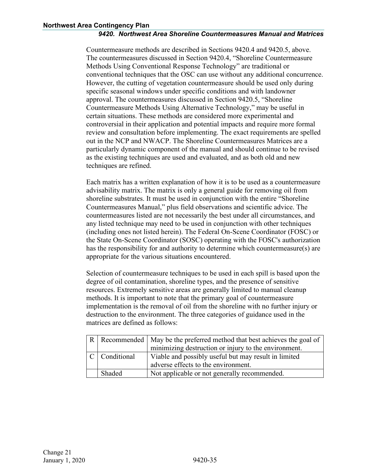Countermeasure methods are described in Sections 9420.4 and 9420.5, above. The countermeasures discussed in Section 9420.4, "Shoreline Countermeasure Methods Using Conventional Response Technology" are traditional or conventional techniques that the OSC can use without any additional concurrence. However, the cutting of vegetation countermeasure should be used only during specific seasonal windows under specific conditions and with landowner approval. The countermeasures discussed in Section 9420.5, "Shoreline Countermeasure Methods Using Alternative Technology," may be useful in certain situations. These methods are considered more experimental and controversial in their application and potential impacts and require more formal review and consultation before implementing. The exact requirements are spelled out in the NCP and NWACP. The Shoreline Countermeasures Matrices are a particularly dynamic component of the manual and should continue to be revised as the existing techniques are used and evaluated, and as both old and new techniques are refined.

Each matrix has a written explanation of how it is to be used as a countermeasure advisability matrix. The matrix is only a general guide for removing oil from shoreline substrates. It must be used in conjunction with the entire "Shoreline Countermeasures Manual," plus field observations and scientific advice. The countermeasures listed are not necessarily the best under all circumstances, and any listed technique may need to be used in conjunction with other techniques (including ones not listed herein). The Federal On-Scene Coordinator (FOSC) or the State On-Scene Coordinator (SOSC) operating with the FOSC's authorization has the responsibility for and authority to determine which countermeasure(s) are appropriate for the various situations encountered.

Selection of countermeasure techniques to be used in each spill is based upon the degree of oil contamination, shoreline types, and the presence of sensitive resources. Extremely sensitive areas are generally limited to manual cleanup methods. It is important to note that the primary goal of countermeasure implementation is the removal of oil from the shoreline with no further injury or destruction to the environment. The three categories of guidance used in the matrices are defined as follows:

|               | R Recommended May be the preferred method that best achieves the goal of |
|---------------|--------------------------------------------------------------------------|
|               | minimizing destruction or injury to the environment.                     |
| C Conditional | Viable and possibly useful but may result in limited                     |
|               | adverse effects to the environment.                                      |
| Shaded        | Not applicable or not generally recommended.                             |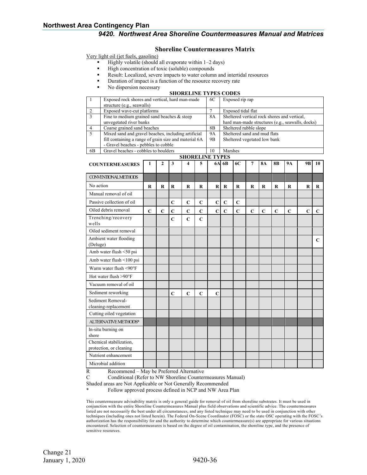#### **Shoreline Countermeasures Matrix**

Very light oil (jet fuels, gasoline)

- Highly volatile (should all evaporate within 1–2 days)
- High concentration of toxic (soluble) compounds
	- Result: Localized, severe impacts to water column and intertidal resources
- Duration of impact is a function of the resource recovery rate
- No dispersion necessary

#### **SHORELINE TYPES CODES**

|                | Exposed rock shores and vertical, hard man-made       | 6C | Exposed rip rap                                  |  |  |  |  |  |  |
|----------------|-------------------------------------------------------|----|--------------------------------------------------|--|--|--|--|--|--|
|                | structure (e.g., seawalls)                            |    |                                                  |  |  |  |  |  |  |
| $\overline{2}$ | Exposed wave-cut platforms                            |    | Exposed tidal flat                               |  |  |  |  |  |  |
| -3             | Fine to medium grained sand beaches $\&$ steep        | 8A | Sheltered vertical rock shores and vertical,     |  |  |  |  |  |  |
|                | unvegetated river banks                               |    | hard man-made structures (e.g., seawalls, docks) |  |  |  |  |  |  |
| -4             | Coarse grained sand beaches                           | 8В | Sheltered rubble slope                           |  |  |  |  |  |  |
| - 5            | Mixed sand and gravel beaches, including artificial   | 9A | Sheltered sand and mud flats                     |  |  |  |  |  |  |
|                | fill containing a range of grain size and material 6A | 9B | Sheltered vegetated low bank                     |  |  |  |  |  |  |
|                | - Gravel beaches - pebbles to cobble                  |    |                                                  |  |  |  |  |  |  |
| 6B             | Gravel beaches - cobbles to boulders                  | 10 | <b>Marshes</b>                                   |  |  |  |  |  |  |
|                | SHOREL INE TYPES                                      |    |                                                  |  |  |  |  |  |  |

| <b>COUNTERMEASURES</b>                             | 1           | $\mathbf{2}$ | 3           | 4           | 5           |             | 6A 6B       | 6C          | $\overline{7}$ | <b>8A</b>      | <b>8B</b>   | <b>9A</b>   | 9 <sub>B</sub> | 10          |
|----------------------------------------------------|-------------|--------------|-------------|-------------|-------------|-------------|-------------|-------------|----------------|----------------|-------------|-------------|----------------|-------------|
|                                                    |             |              |             |             |             |             |             |             |                |                |             |             |                |             |
| <b>CONVENTIONALMETHODS</b>                         |             |              |             |             |             |             |             |             |                |                |             |             |                |             |
| No action                                          | $\bf{R}$    | $\bf{R}$     | $\bf{R}$    | $\mathbf R$ | $\bf R$     | $\bf R$     | $\bf{R}$    | $\bf{R}$    | $\bf R$        | $\mathbf R$    | $\mathbf R$ | $\bf R$     | $\bf R$        | $\bf R$     |
| Manual removal of oil                              |             |              |             |             |             |             |             |             |                |                |             |             |                |             |
| Passive collection of oil                          |             |              | $\mathbf C$ | $\mathbf C$ | $\mathbf C$ | $\mathbf C$ | $\mathbf C$ | $\mathbf C$ |                |                |             |             |                |             |
| Oiled debris removal                               | $\mathbf C$ | $\mathbf C$  | $\mathbf C$ | $\mathbf C$ | $\mathbf C$ | $\mathbf C$ | $\mathbf C$ | $\mathbf C$ | $\overline{C}$ | $\overline{C}$ | $\mathbf C$ | $\mathbf C$ | $\mathbf C$    | $\mathbf C$ |
| Trenching/recovery<br>wells                        |             |              | $\mathbf C$ | $\mathbf C$ | $\mathbf C$ |             |             |             |                |                |             |             |                |             |
| Oiled sediment removal                             |             |              |             |             |             |             |             |             |                |                |             |             |                |             |
| Ambient water flooding<br>(Deluge)                 |             |              |             |             |             |             |             |             |                |                |             |             |                | $\mathbf C$ |
| Amb water flush <50 psi                            |             |              |             |             |             |             |             |             |                |                |             |             |                |             |
| Amb water flush <100 psi                           |             |              |             |             |             |             |             |             |                |                |             |             |                |             |
| Warm water flush <90°F                             |             |              |             |             |             |             |             |             |                |                |             |             |                |             |
| Hot water flush $>90^{\circ}$ F                    |             |              |             |             |             |             |             |             |                |                |             |             |                |             |
| Vacuum removal of oil                              |             |              |             |             |             |             |             |             |                |                |             |             |                |             |
| Sediment reworking                                 |             |              | $\mathbf C$ | $\mathbf C$ | $\mathbf C$ | $\mathbf C$ |             |             |                |                |             |             |                |             |
| Sediment Removal-<br>cleaning-replacement          |             |              |             |             |             |             |             |             |                |                |             |             |                |             |
| Cutting oiled vegetation                           |             |              |             |             |             |             |             |             |                |                |             |             |                |             |
| ALTERNATIVE METHODS*                               |             |              |             |             |             |             |             |             |                |                |             |             |                |             |
| In-situ burning on<br>shore                        |             |              |             |             |             |             |             |             |                |                |             |             |                |             |
| Chemical stabilization,<br>protection, or cleaning |             |              |             |             |             |             |             |             |                |                |             |             |                |             |
| Nutrient enhancement                               |             |              |             |             |             |             |             |             |                |                |             |             |                |             |
| Microbial addition                                 |             |              |             |             |             |             |             |             |                |                |             |             |                |             |

R Recommend – May be Preferred Alternative<br>C Conditional (Refer to NW Shoreline Counter

Conditional (Refer to NW Shoreline Countermeasures Manual)

Shaded areas are Not Applicable or Not Generally Recommended

Follow approved process defined in NCP and NW Area Plan

This countermeasure advisability matrix is only a general guide for removal of oil from shoreline substrates. It must be used in conjunction with the entire Shoreline Countermeasures Manual plus field observations and scientific advice. The countermeasures listed are not necessarily the best under all circumstances, and any listed technique may need to be used in conjunction with other techniques (including ones not listed herein). The Federal On-Scene Coordinator (FOSC) or the state OSC operating with the FOSC's authorization has the responsibility for and the authority to determine which countermeasure(s) are appropriate for various situations encountered. Selection of countermeasures is based on the degree of oil contamination, the shoreline type, and the presence of sensitive resources.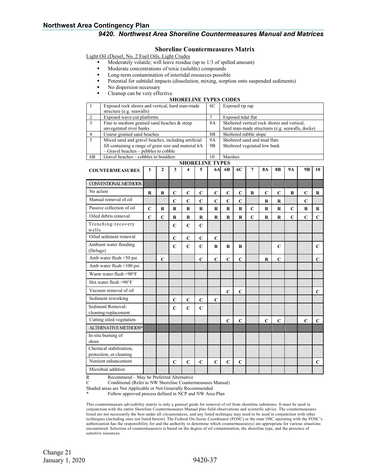#### **Shoreline Countermeasures Matrix**

Light Oil (Diesel, No. 2 Fuel Oils, Light Crudes

- Moderately volatile; will leave residue (up to 1/3 of spilled amount)
- Moderate concentrations of toxic (soluble) compounds
	- Long-term contamination of intertidal resources possible
- Potential for subtidal impacts (dissolution, mixing, sorption onto suspended sediments)
- No dispersion necessary
- Cleanup can be very effective

#### **SHORELINE TYPES CODES**

| $\mathbf{1}$                       | Exposed rock shores and vertical, hard man-made<br>structure (e.g. seawalls) |             | 6C             | Exposed rip rap                                 |             |                |                        |                                              |             |                              |             |             |             |             |              |
|------------------------------------|------------------------------------------------------------------------------|-------------|----------------|-------------------------------------------------|-------------|----------------|------------------------|----------------------------------------------|-------------|------------------------------|-------------|-------------|-------------|-------------|--------------|
|                                    | Exposed wave-cut platforms                                                   |             | 7              | Exposed tidal flat                              |             |                |                        |                                              |             |                              |             |             |             |             |              |
| $\frac{2}{3}$                      | Fine to medium grained sand beaches $&$ steep                                |             |                |                                                 |             |                | <b>8A</b>              | Sheltered vertical rock shores and vertical, |             |                              |             |             |             |             |              |
|                                    | unvegetated river banks                                                      |             |                | hard man-made structures (e.g. seawalls, docks) |             |                |                        |                                              |             |                              |             |             |             |             |              |
| $\overline{4}$                     | Coarse grained sand beaches                                                  |             | 8 <sub>B</sub> | Sheltered rubble slope                          |             |                |                        |                                              |             |                              |             |             |             |             |              |
| 5                                  | Mixed sand and gravel beaches, including artificial                          |             |                |                                                 |             |                | 9A                     |                                              |             | Sheltered sand and mud flats |             |             |             |             |              |
|                                    | fill containing a range of grain size and material 6A                        |             |                |                                                 |             |                | 9B                     | Sheltered vegetated low bank                 |             |                              |             |             |             |             |              |
|                                    | - Gravel beaches - pebbles to cobble                                         |             |                |                                                 |             |                | 10                     | Marshes                                      |             |                              |             |             |             |             |              |
| 6 <sub>B</sub>                     | Gravel beaches - cobbles to boulders                                         |             |                |                                                 |             |                | <b>SHORELINE TYPES</b> |                                              |             |                              |             |             |             |             |              |
|                                    | <b>COUNTERMEASURES</b>                                                       | 1           | $\mathbf{2}$   | 3                                               | 4           | 5              | 6A                     | 6 <b>B</b>                                   | 6C          | 7                            | <b>8A</b>   | 8B          | <b>9A</b>   | 9B          | 10           |
|                                    |                                                                              |             |                |                                                 |             |                |                        |                                              |             |                              |             |             |             |             |              |
|                                    | <b>CONVENTIONAL METHODS</b>                                                  |             |                |                                                 |             |                |                        |                                              |             |                              |             |             |             |             |              |
| No action                          |                                                                              | R           | R              | $\mathbf C$                                     | $\mathbf C$ | C              | $\overline{C}$         | $\mathbf C$                                  | $\mathbf C$ | R                            | C           | $\mathbf C$ | R           | $\mathbf C$ | $\bf R$      |
|                                    | Manual removal of oil                                                        |             |                | $\mathbf C$                                     | $\mathbf C$ | C              | C                      | C                                            | C           |                              | R           | R           |             | C           |              |
|                                    | Passive collection of oil                                                    | $\mathbf C$ | R              | R                                               | R           | R              | R                      | $\bf R$                                      | R           | C                            | R           | R           | $\mathbf C$ | $\bf R$     | R            |
|                                    | Oiled debris removal                                                         | $\mathbf C$ | $\mathbf C$    | R                                               | R           | R              | $\bf R$                | R                                            | R           | $\mathbf C$                  | R           | R           | $\mathbf C$ | $\mathbf C$ | $\mathbf C$  |
| Trenching/recovery<br>wells        |                                                                              |             |                | $\mathbf C$                                     | $\mathbf C$ | $\mathbf C$    |                        |                                              |             |                              |             |             |             |             |              |
| Oiled sediment removal             |                                                                              |             |                | $\mathbf C$                                     | $\mathbf C$ | $\mathbf C$    | $\mathbf C$            |                                              |             |                              |             |             |             |             |              |
| Ambient water flooding<br>(Deluge) |                                                                              |             |                | $\mathbf C$                                     | $\mathbf C$ | $\mathbf C$    | $\bf R$                | R                                            | $\bf R$     |                              |             | $\mathbf C$ |             |             | $\mathbf{C}$ |
|                                    | Amb water flush <50 psi                                                      |             | $\mathbf C$    |                                                 |             | $\overline{C}$ | Ċ                      | C                                            | C           |                              | $\mathbf R$ | C           |             |             | $\mathbf C$  |
|                                    | Amb water flush <100 psi                                                     |             |                |                                                 |             |                |                        |                                              |             |                              |             |             |             |             |              |
|                                    | Warm water flush <90°F                                                       |             |                |                                                 |             |                |                        |                                              |             |                              |             |             |             |             |              |
|                                    | Hot water flush $>90^{\circ}$ F                                              |             |                |                                                 |             |                |                        |                                              |             |                              |             |             |             |             |              |
|                                    | Vacuum removal of oil                                                        |             |                |                                                 |             |                |                        | C                                            | C           |                              |             |             |             |             | $\mathbf C$  |
|                                    | Sediment reworking                                                           |             |                | C                                               | C           | C              | C                      |                                              |             |                              |             |             |             |             |              |
|                                    | Sediment Removal-<br>cleaning-replacement                                    |             |                | $\mathbf C$                                     | C           | C              |                        |                                              |             |                              |             |             |             |             |              |
|                                    | Cutting oiled vegetation                                                     |             |                |                                                 |             |                |                        | $\mathbf C$                                  | $\mathbf C$ |                              | C           | $\mathbf C$ |             | $\mathbf C$ | $\mathbf C$  |
|                                    | <b>ALTERNATIVE METHODS*</b>                                                  |             |                |                                                 |             |                |                        |                                              |             |                              |             |             |             |             |              |
| shore                              | In-situ burning of                                                           |             |                |                                                 |             |                |                        |                                              |             |                              |             |             |             |             |              |
|                                    | Chemical stabilization,<br>protection, or cleaning                           |             |                |                                                 |             |                |                        |                                              |             |                              |             |             |             |             |              |
|                                    | Nutrient enhancement                                                         |             |                | C                                               | C           | C              | C                      | C                                            | C           |                              |             |             |             |             | $\mathbf C$  |
|                                    | Microbial addition                                                           |             |                |                                                 |             |                |                        |                                              |             |                              |             |             |             |             |              |

R Recommend – May be Preferred Alternative

C Conditional (Refer to NW Shoreline Countermeasures Manual)

Shaded areas are Not Applicable or Not Generally Recommended

Follow approved process defined in NCP and NW Area Plan

This countermeasure advisability matrix is only a general guide for removal of oil from shoreline substrates. It must be used in conjunction with the entire Shoreline Countermeasures Manual plus field observations and scientific advice. The countermeasures listed are not necessarily the best under all circumstances, and any listed technique may need to be used in conjunction with other techniques (including ones not listed herein). The Federal On-Scene Coordinator (FOSC) or the state OSC operating with the FOSC's authorization has the responsibility for and the authority to determine which countermeasure(s) are appropriate for various situations encountered. Selection of countermeasures is based on the degree of oil contamination, the shoreline type, and the presence of sensitive resources.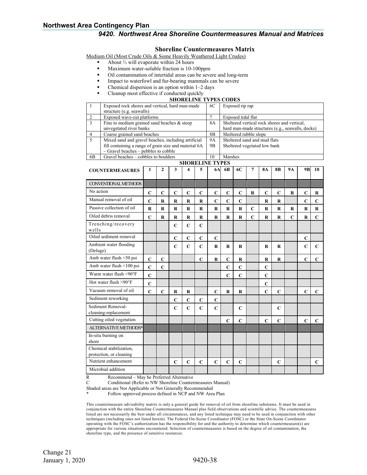#### **Shoreline Countermeasures Matrix**

Medium Oil (Most Crude Oils & Some Heavily Weathered Light Crudes)

- About ⅓ will evaporate within 24 hours
- Maximum water-soluble fraction is 10-100ppm
- Oil contamination of intertidal areas can be severe and long-term
- Impact to waterfowl and fur-bearing mammals can be severe
- Chemical dispersion is an option within 1–2 days
- Cleanup most effective if conducted quickly

#### **SHORELINE TYPES CODES**

|                           | <b>SHORELINE TYPES CODES</b>                                                 |             |              |                 |                |                |                         |                                                  |                        |                |                |             |             |                |             |
|---------------------------|------------------------------------------------------------------------------|-------------|--------------|-----------------|----------------|----------------|-------------------------|--------------------------------------------------|------------------------|----------------|----------------|-------------|-------------|----------------|-------------|
| $\mathbf{1}$              | Exposed rock shores and vertical, hard man-made<br>structure (e.g. seawalls) |             | 6C           | Exposed rip rap |                |                |                         |                                                  |                        |                |                |             |             |                |             |
| $\overline{2}$            | Exposed wave-cut platforms                                                   |             |              |                 |                |                |                         | Exposed tidal flat                               |                        |                |                |             |             |                |             |
| 3                         | Fine to medium grained sand beaches $&$ steep                                |             |              |                 |                |                | 8A                      | Sheltered vertical rock shores and vertical,     |                        |                |                |             |             |                |             |
|                           | unvegetated river banks                                                      |             |              |                 |                |                |                         | hard man-made structures (e.g., seawalls, docks) |                        |                |                |             |             |                |             |
| $\overline{4}$            | Coarse grained sand beaches                                                  |             |              |                 |                |                | 8B                      |                                                  | Sheltered rubble slope |                |                |             |             |                |             |
| $\overline{5}$            | Mixed sand and gravel beaches, including artificial                          |             |              |                 |                |                | 9A                      | Sheltered sand and mud flats                     |                        |                |                |             |             |                |             |
|                           | fill containing a range of grain size and material 6A                        |             |              |                 |                |                | 9B                      | Sheltered vegetated low bank                     |                        |                |                |             |             |                |             |
|                           | - Gravel beaches - pebbles to cobble                                         |             |              |                 |                |                |                         |                                                  |                        |                |                |             |             |                |             |
| 6 <b>B</b>                | Gravel beaches - cobbles to boulders                                         |             |              |                 |                |                | 10                      | Marshes                                          |                        |                |                |             |             |                |             |
|                           |                                                                              |             |              |                 |                |                | <b>SHORELINE TYPES</b>  |                                                  |                        |                |                |             |             |                |             |
|                           | <b>COUNTERMEASURES</b>                                                       | 1           | $\mathbf{2}$ | 3               | 4              | 5              | <b>6A</b>               | 6 <b>B</b>                                       | <b>6C</b>              | 7              | <b>8A</b>      | <b>8B</b>   | 9A          | 9 <sub>B</sub> | 10          |
|                           | <b>CONVENTIONAL METHODS</b>                                                  |             |              |                 |                |                |                         |                                                  |                        |                |                |             |             |                |             |
| No action                 |                                                                              | C           | $\mathbf C$  | $\mathbf C$     | $\overline{C}$ | C              | $\mathbf C$             | $\mathbf C$                                      | $\mathbf C$            | R              | C              | C           | R           | $\mathbf C$    | R           |
|                           | Manual removal of oil                                                        | $\mathbf C$ | $\bf{R}$     | $\bf R$         | $\bf R$        | R              | $\overline{\mathbf{C}}$ | $\overline{C}$                                   | $\mathbf C$            |                | $\mathbf R$    | $\mathbf R$ |             | $\overline{C}$ | $\mathbf C$ |
| Passive collection of oil |                                                                              | $\mathbf R$ | R            | R               | R              | R              | R                       | $\bf R$                                          | $\mathbf R$            | $\overline{C}$ | R              | $\bf{R}$    | $\bf R$     | $\bf R$        | $\mathbf R$ |
|                           | Oiled debris removal                                                         | $\mathbf C$ | R            | R               | $\bf R$        | R              | $\mathbf R$             | $\bf R$                                          | $\mathbf R$            | $\overline{C}$ | R              | R           | $\mathbf C$ | $\bf R$        | $\mathbf C$ |
|                           | Trenching/recovery                                                           |             |              | $\mathbf C$     | $\overline{C}$ | $\mathbf C$    |                         |                                                  |                        |                |                |             |             |                |             |
| wells                     |                                                                              |             |              |                 |                |                |                         |                                                  |                        |                |                |             |             |                |             |
|                           | Oiled sediment removal                                                       |             |              | $\mathbf C$     | $\mathbf C$    | $\mathbf C$    | $\mathbf C$             |                                                  |                        |                |                |             |             | C              |             |
|                           | Ambient water flooding                                                       |             |              | $\mathbf C$     | $\overline{C}$ | $\overline{C}$ | $\mathbf R$             | R                                                | R                      |                | R              | R           |             | $\overline{C}$ | $\mathbf C$ |
| (Deluge)                  |                                                                              |             |              |                 |                |                |                         |                                                  |                        |                |                |             |             |                |             |
|                           | Amb water flush <50 psi                                                      | $\mathbf C$ | $\mathbf C$  |                 |                | $\mathbf C$    | $\bf R$                 | $\overline{C}$                                   | $\bf R$                |                | $\bf R$        | $\mathbf R$ |             | $\mathbf C$    | $\mathbf C$ |
|                           | Amb water flush <100 psi                                                     | $\mathbf C$ | $\mathbf C$  |                 |                |                |                         | $\mathbf C$                                      | $\mathbf C$            |                | $\mathbf C$    |             |             |                |             |
|                           | Warm water flush <90°F                                                       | $\mathbf C$ |              |                 |                |                |                         | $\mathbf C$                                      | $\overline{C}$         |                | $\overline{C}$ |             |             |                |             |
|                           | Hot water flush $>90^{\circ}F$                                               | $\mathbf C$ |              |                 |                |                |                         |                                                  |                        |                | $\overline{C}$ |             |             |                |             |
|                           | Vacuum removal of oil                                                        | $\mathbf C$ | $\mathbf C$  | R               | R              |                | $\mathbf C$             | $\bf R$                                          | R                      |                | $\overline{C}$ | $\mathbf C$ |             | $\mathbf C$    | C           |
|                           | Sediment reworking                                                           |             |              | $\mathbf C$     | $\mathbf C$    | $\mathbf C$    | $\mathbf C$             |                                                  |                        |                |                |             |             |                |             |
|                           | Sediment Removal-                                                            |             |              | $\mathbf C$     | $\overline{C}$ | $\mathbf C$    | $\mathbf C$             |                                                  | $\mathbf C$            |                |                | $\mathbf C$ |             |                |             |
| cleaning-replacement      |                                                                              |             |              |                 |                |                |                         |                                                  |                        |                |                |             |             |                |             |
| Cutting oiled vegetation  |                                                                              |             |              |                 |                |                |                         | C                                                | $\mathbf C$            |                | C              | C           |             | $\mathbf C$    | $\mathbf C$ |
|                           | ALTERNATIVE METHODS*                                                         |             |              |                 |                |                |                         |                                                  |                        |                |                |             |             |                |             |
|                           | In-situ burning on                                                           |             |              |                 |                |                |                         |                                                  |                        |                |                |             |             |                |             |
| shore                     |                                                                              |             |              |                 |                |                |                         |                                                  |                        |                |                |             |             |                |             |
|                           | Chemical stabilization,                                                      |             |              |                 |                |                |                         |                                                  |                        |                |                |             |             |                |             |

R Recommend – May be Preferred Alternative

protection, or cleaning

Microbial addition

C Conditional (Refer to NW Shoreline Countermeasures Manual)

Shaded areas are Not Applicable or Not Generally Recommended

Follow approved process defined in NCP and NW Area Plan

This countermeasure advisability matrix is only a general guide for removal of oil from shoreline substrates. It must be used in conjunction with the entire Shoreline Countermeasures Manual plus field observations and scientific advice. The countermeasures listed are not necessarily the best under all circumstances, and any listed technique may need to be used in conjunction with other techniques (including ones not listed herein). The Federal On-Scene Coordinator (FOSC) or the State On-Scene Coordinator operating with the FOSC's authorization has the responsibility for and the authority to determine which countermeasure(s) are appropriate for various situations encountered. Selection of countermeasures is based on the degree of oil contamination, the shoreline type, and the presence of sensitive resources.

Nutrient enhancement **C C C C C C C C**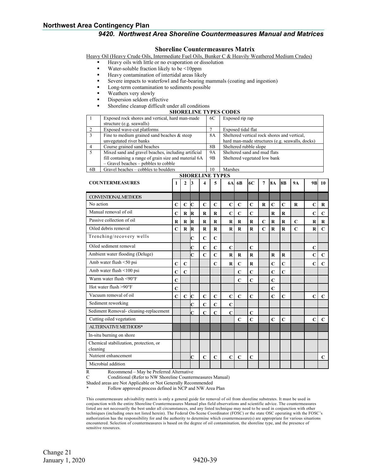#### **Shoreline Countermeasures Matrix**

Heavy Oil (Heavy Crude Oils, Intermediate Fuel Oils, Bunker C & Heavily Weathered Medium Crudes)

- Heavy oils with little or no evaporation or dissolution
- Water-soluble fraction likely to be <10ppm
- Heavy contamination of intertidal areas likely
- Severe impacts to waterfowl and fur-bearing mammals (coating and ingestion)
- Long-term contamination to sediments possible
- Weathers very slowly
- Dispersion seldom effective
- Shoreline cleanup difficult under all conditions

#### **SHORELINE TYPES CODES**

|                | Exposed rock shores and vertical, hard man-made       | 6C             | Exposed rip rap                                 |
|----------------|-------------------------------------------------------|----------------|-------------------------------------------------|
|                | structure (e.g. seawalls)                             |                |                                                 |
|                | Exposed wave-cut platforms                            |                | Exposed tidal flat                              |
| $\mathcal{R}$  | Fine to medium grained sand beaches $\&$ steep        | 8A             | Sheltered vertical rock shores and vertical,    |
|                | unvegetated river banks                               |                | hard man-made structures (e.g. seawalls, docks) |
|                | Course grained sand beaches                           | 8B             | Sheltered rubble slope                          |
|                | Mixed sand and gravel beaches, including artificial   | 9A             | Sheltered sand and mud flats                    |
|                | fill containing a range of grain size and material 6A | 9 <sub>B</sub> | Sheltered vegetated low bank                    |
|                | $-$ Gravel beaches $-$ pebbles to cobble              |                |                                                 |
| 6 <sub>B</sub> | Gravel beaches – cobbles to boulders                  | 10             | Marshes                                         |

| <b>SHORELINE TYPES</b>                 |             |                |                |             |             |             |                |                |                |             |             |             |                |                |
|----------------------------------------|-------------|----------------|----------------|-------------|-------------|-------------|----------------|----------------|----------------|-------------|-------------|-------------|----------------|----------------|
| <b>COUNTERMEASURES</b>                 | 1           | $\mathbf{2}$   | 3              | 4           | 5           | <b>6A</b>   | 6 <sub>B</sub> | 6C             | 7              | <b>8A</b>   | <b>8B</b>   | <b>9A</b>   | 9 <sub>B</sub> | 10             |
| <b>CONVENTIONAL METHODS</b>            |             |                |                |             |             |             |                |                |                |             |             |             |                |                |
| No action                              |             |                |                |             |             |             |                |                |                |             |             |             |                |                |
|                                        | $\mathbf C$ | $\mathbf C$    | Ċ              | $\mathbf C$ | $\mathbf C$ | $\mathbf C$ | $\mathbf C$    | $\mathbf C$    | $\bf R$        | $\mathbf C$ | $\mathbf C$ | $\bf R$     | $\mathbf C$    | R              |
| Manual removal of oil                  | $\mathbf C$ | $\bf{R}$       | IR             | $\bf R$     | R           | $\mathbf C$ | $\mathbf C$    | $\overline{C}$ |                | $\bf R$     | R           |             | $\mathbf C$    | $\mathbf C$    |
| Passive collection of oil              | $\bf{R}$    | $\bf{R}$       | R              | $\bf{R}$    | R           | $\bf{R}$    | $\mathbf R$    | $\bf R$        | $\mathbf C$    | $\bf{R}$    | $\bf{R}$    | $\mathbf C$ | R              | $\bf R$        |
| Oiled debris removal                   | $\mathbf C$ | $\bf R$        | IR             | $\bf R$     | $\mathbf R$ | $\mathbf R$ | $\mathbf R$    | $\mathbf R$    | $\overline{C}$ | $\mathbf R$ | $\mathbf R$ | $\mathbf C$ | $\mathbf R$    | $\mathbf C$    |
| Trenching/recovery wells               |             |                | Ċ              | $\mathbf C$ | $\mathbf C$ |             |                |                |                |             |             |             |                |                |
| Oiled sediment removal                 |             |                | $\overline{C}$ | $\mathbf C$ | $\mathbf C$ | $\mathbf C$ |                | $\mathbf C$    |                |             |             |             | $\mathbf C$    |                |
| Ambient water flooding (Deluge)        |             |                | Ċ              | $\mathbf C$ | $\mathbf C$ | $\bf{R}$    | $\mathbf R$    | $\bf R$        |                | $\mathbf R$ | $\bf R$     |             | $\mathbf C$    | $\mathbf C$    |
| Amb water flush <50 psi                | $\mathbf C$ | $\mathbf C$    |                |             | $\mathbf C$ | $\bf R$     | $\mathbf C$    | $\bf R$        |                | $\mathbf C$ | $\mathbf C$ |             | $\mathbf C$    | $\mathbf C$    |
| Amb water flush <100 psi               | $\mathbf C$ | $\overline{C}$ |                |             |             |             | $\mathbf C$    | $\overline{C}$ |                | $\mathbf C$ | $\mathbf C$ |             |                |                |
| Warm water flush <90°F                 | $\mathbf C$ |                |                |             |             |             | $\mathbf C$    | $\overline{C}$ |                | $\mathbf C$ |             |             |                |                |
| Hot water flush $>90^{\circ}$ F        | $\mathbf C$ |                |                |             |             |             |                |                |                | $\mathbf C$ |             |             |                |                |
| Vacuum removal of oil                  | $\mathbf C$ | $\mathbf C$    | Ċ              | $\mathbf C$ | $\mathbf C$ | $\mathbf C$ | $\mathbf C$    | $\mathbf C$    |                | $\mathbf C$ | $\mathbf C$ |             | $\mathbf C$    | $\mathbf C$    |
| Sediment reworking                     |             |                | Ċ              | $\mathbf C$ | $\mathbf C$ | $\mathbf C$ |                |                |                |             |             |             |                |                |
| Sediment Removal-cleaning-replacement  |             |                | Ċ              | $\mathbf C$ | C           | $\mathbf C$ |                | C              |                |             |             |             |                |                |
| Cutting oiled vegetation               |             |                |                |             |             |             | $\mathbf C$    | $\overline{C}$ |                | $\mathbf C$ | $\mathbf C$ |             | $\mathbf C$    | $\overline{C}$ |
| ALTERNATIVE METHODS*                   |             |                |                |             |             |             |                |                |                |             |             |             |                |                |
| In-situ burning on shore               |             |                |                |             |             |             |                |                |                |             |             |             |                |                |
| Chemical stabilization, protection, or |             |                |                |             |             |             |                |                |                |             |             |             |                |                |
| cleaning                               |             |                |                |             |             |             |                |                |                |             |             |             |                |                |
| Nutrient enhancement                   |             |                | C              | $\mathbf C$ | $\mathbf C$ | $\mathbf C$ | $\mathbf C$    | $\mathbf C$    |                |             |             |             |                | $\mathbf C$    |
| Microbial addition                     |             |                |                |             |             |             |                |                |                |             |             |             |                |                |

R Recommend – May be Preferred Alternative<br>C Conditional (Refer to NW Shoreline Counter

Conditional (Refer to NW Shoreline Countermeasures Manual)

Shaded areas are Not Applicable or Not Generally Recommended

Follow approved process defined in NCP and NW Area Plan

This countermeasure advisability matrix is only a general guide for removal of oil from shoreline substrates. It must be used in conjunction with the entire Shoreline Countermeasures Manual plus field observations and scientific advice. The countermeasures listed are not necessarily the best under all circumstances, and any listed technique may need to be used in conjunction with other techniques (including ones not listed herein). The Federal On-Scene Coordinator (FOSC) or the state OSC operating with the FOSC's authorization has the responsibility for and the authority to determine which countermeasure(s) are appropriate for various situations encountered. Selection of countermeasures is based on the degree of oil contamination, the shoreline type, and the presence of sensitive resources.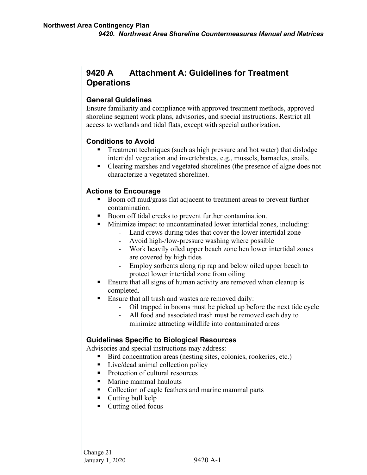# <span id="page-45-0"></span>**9420 A Attachment A: Guidelines for Treatment Operations**

#### **General Guidelines**

Ensure familiarity and compliance with approved treatment methods, approved shoreline segment work plans, advisories, and special instructions. Restrict all access to wetlands and tidal flats, except with special authorization.

#### **Conditions to Avoid**

- Treatment techniques (such as high pressure and hot water) that dislodge intertidal vegetation and invertebrates, e.g., mussels, barnacles, snails.
- Clearing marshes and vegetated shorelines (the presence of algae does not characterize a vegetated shoreline).

#### **Actions to Encourage**

- Boom off mud/grass flat adjacent to treatment areas to prevent further contamination.
- Boom off tidal creeks to prevent further contamination.
	- Minimize impact to uncontaminated lower intertidal zones, including:
		- Land crews during tides that cover the lower intertidal zone
			- Avoid high-/low-pressure washing where possible
			- Work heavily oiled upper beach zone hen lower intertidal zones are covered by high tides
		- Employ sorbents along rip rap and below oiled upper beach to protect lower intertidal zone from oiling
- Ensure that all signs of human activity are removed when cleanup is completed.
- Ensure that all trash and wastes are removed daily:
	- Oil trapped in booms must be picked up before the next tide cycle
	- All food and associated trash must be removed each day to minimize attracting wildlife into contaminated areas

### **Guidelines Specific to Biological Resources**

Advisories and special instructions may address:

- Bird concentration areas (nesting sites, colonies, rookeries, etc.)
- Live/dead animal collection policy
- Protection of cultural resources
- Marine mammal haulouts
- Collection of eagle feathers and marine mammal parts
- Cutting bull kelp
- $\blacksquare$  Cutting oiled focus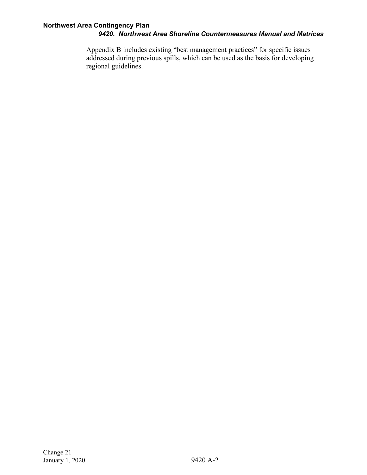Appendix B includes existing "best management practices" for specific issues addressed during previous spills, which can be used as the basis for developing regional guidelines.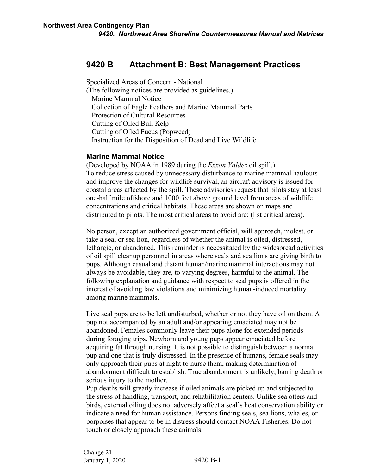# <span id="page-47-0"></span>**9420 B Attachment B: Best Management Practices**

Specialized Areas of Concern - National

(The following notices are provided as guidelines.) Marine Mammal Notice Collection of Eagle Feathers and Marine Mammal Parts Protection of Cultural Resources Cutting of Oiled Bull Kelp Cutting of Oiled Fucus (Popweed) Instruction for the Disposition of Dead and Live Wildlife

#### **Marine Mammal Notice**

(Developed by NOAA in 1989 during the *Exxon Valdez* oil spill.) To reduce stress caused by unnecessary disturbance to marine mammal haulouts and improve the changes for wildlife survival, an aircraft advisory is issued for coastal areas affected by the spill. These advisories request that pilots stay at least one-half mile offshore and 1000 feet above ground level from areas of wildlife concentrations and critical habitats. These areas are shown on maps and distributed to pilots. The most critical areas to avoid are: (list critical areas).

No person, except an authorized government official, will approach, molest, or take a seal or sea lion, regardless of whether the animal is oiled, distressed, lethargic, or abandoned. This reminder is necessitated by the widespread activities of oil spill cleanup personnel in areas where seals and sea lions are giving birth to pups. Although casual and distant human/marine mammal interactions may not always be avoidable, they are, to varying degrees, harmful to the animal. The following explanation and guidance with respect to seal pups is offered in the interest of avoiding law violations and minimizing human-induced mortality among marine mammals.

Live seal pups are to be left undisturbed, whether or not they have oil on them. A pup not accompanied by an adult and/or appearing emaciated may not be abandoned. Females commonly leave their pups alone for extended periods during foraging trips. Newborn and young pups appear emaciated before acquiring fat through nursing. It is not possible to distinguish between a normal pup and one that is truly distressed. In the presence of humans, female seals may only approach their pups at night to nurse them, making determination of abandonment difficult to establish. True abandonment is unlikely, barring death or serious injury to the mother.

Pup deaths will greatly increase if oiled animals are picked up and subjected to the stress of handling, transport, and rehabilitation centers. Unlike sea otters and birds, external oiling does not adversely affect a seal's heat conservation ability or indicate a need for human assistance. Persons finding seals, sea lions, whales, or porpoises that appear to be in distress should contact NOAA Fisheries. Do not touch or closely approach these animals.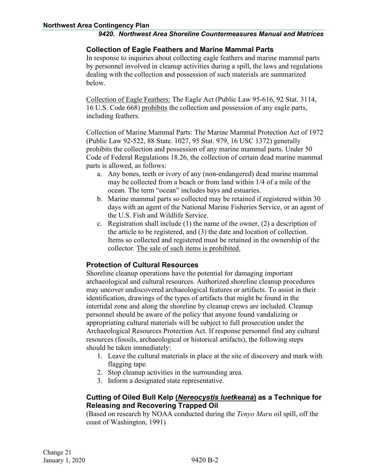#### **Collection of Eagle Feathers and Marine Mammal Parts**

In response to inquiries about collecting eagle feathers and marine mammal parts by personnel involved in cleanup activities during a spill, the laws and regulations dealing with the collection and possession of such materials are summarized below.

Collection of Eagle Feathers: The Eagle Act (Public Law 95-616, 92 Stat. 3114, 16 U.S. Code 668) prohibits the collection and possession of any eagle parts, including feathers.

Collection of Marine Mammal Parts: The Marine Mammal Protection Act of 1972 (Public Law 92-522, 88 State. 1027, 95 Stat. 979, 16 USC 1372) generally prohibits the collection and possession of any marine mammal parts. Under 50 Code of Federal Regulations 18.26, the collection of certain dead marine mammal parts is allowed, as follows:

- a. Any bones, teeth or ivory of any (non-endangered) dead marine mammal may be collected from a beach or from land within 1/4 of a mile of the ocean. The term "ocean" includes bays and estuaries.
- b. Marine mammal parts so collected may be retained if registered within 30 days with an agent of the National Marine Fisheries Service, or an agent of the U.S. Fish and Wildlife Service.
- c. Registration shall include (1) the name of the owner, (2) a description of the article to be registered, and (3) the date and location of collection. Items so collected and registered must be retained in the ownership of the collector. The sale of such items is prohibited.

#### **Protection of Cultural Resources**

Shoreline cleanup operations have the potential for damaging important archaeological and cultural resources. Authorized shoreline cleanup procedures may uncover undiscovered archaeological features or artifacts. To assist in their identification, drawings of the types of artifacts that might be found in the intertidal zone and along the shoreline by cleanup crews are included. Cleanup personnel should be aware of the policy that anyone found vandalizing or appropriating cultural materials will be subject to full prosecution under the Archaeological Resources Protection Act. If response personnel find any cultural resources (fossils, archaeological or historical artifacts), the following steps should be taken immediately:

- 1. Leave the cultural materials in place at the site of discovery and mark with flagging tape.
- 2. Stop cleanup activities in the surrounding area.
- 3. Inform a designated state representative.

#### **Cutting of Oiled Bull Kelp (***Nereocystis luetkeana***) as a Technique for Releasing and Recovering Trapped Oil**

(Based on research by NOAA conducted during the *Tenyo Maru* oil spill, off the coast of Washington, 1991)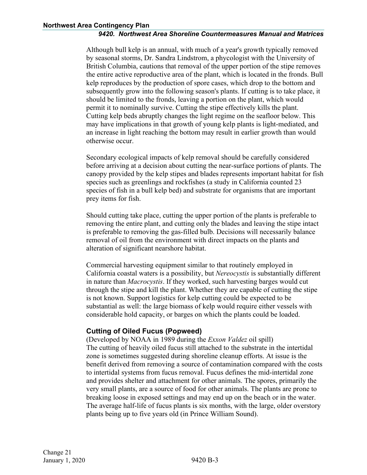Although bull kelp is an annual, with much of a year's growth typically removed by seasonal storms, Dr. Sandra Lindstrom, a phycologist with the University of British Columbia, cautions that removal of the upper portion of the stipe removes the entire active reproductive area of the plant, which is located in the fronds. Bull kelp reproduces by the production of spore cases, which drop to the bottom and subsequently grow into the following season's plants. If cutting is to take place, it should be limited to the fronds, leaving a portion on the plant, which would permit it to nominally survive. Cutting the stipe effectively kills the plant. Cutting kelp beds abruptly changes the light regime on the seafloor below. This may have implications in that growth of young kelp plants is light-mediated, and an increase in light reaching the bottom may result in earlier growth than would otherwise occur.

Secondary ecological impacts of kelp removal should be carefully considered before arriving at a decision about cutting the near-surface portions of plants. The canopy provided by the kelp stipes and blades represents important habitat for fish species such as greenlings and rockfishes (a study in California counted 23 species of fish in a bull kelp bed) and substrate for organisms that are important prey items for fish.

Should cutting take place, cutting the upper portion of the plants is preferable to removing the entire plant, and cutting only the blades and leaving the stipe intact is preferable to removing the gas-filled bulb. Decisions will necessarily balance removal of oil from the environment with direct impacts on the plants and alteration of significant nearshore habitat.

Commercial harvesting equipment similar to that routinely employed in California coastal waters is a possibility, but *Nereocystis* is substantially different in nature than *Macrocystis*. If they worked, such harvesting barges would cut through the stipe and kill the plant. Whether they are capable of cutting the stipe is not known. Support logistics for kelp cutting could be expected to be substantial as well: the large biomass of kelp would require either vessels with considerable hold capacity, or barges on which the plants could be loaded.

#### **Cutting of Oiled Fucus (Popweed)**

(Developed by NOAA in 1989 during the *Exxon Valdez* oil spill) The cutting of heavily oiled fucus still attached to the substrate in the intertidal zone is sometimes suggested during shoreline cleanup efforts. At issue is the benefit derived from removing a source of contamination compared with the costs to intertidal systems from fucus removal. Fucus defines the mid-intertidal zone and provides shelter and attachment for other animals. The spores, primarily the very small plants, are a source of food for other animals. The plants are prone to breaking loose in exposed settings and may end up on the beach or in the water. The average half-life of fucus plants is six months, with the large, older overstory plants being up to five years old (in Prince William Sound).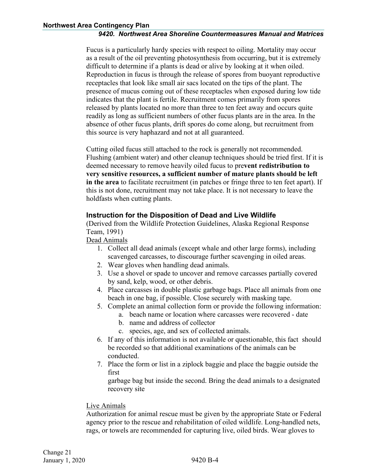Fucus is a particularly hardy species with respect to oiling. Mortality may occur as a result of the oil preventing photosynthesis from occurring, but it is extremely difficult to determine if a plants is dead or alive by looking at it when oiled. Reproduction in fucus is through the release of spores from buoyant reproductive receptacles that look like small air sacs located on the tips of the plant. The presence of mucus coming out of these receptacles when exposed during low tide indicates that the plant is fertile. Recruitment comes primarily from spores released by plants located no more than three to ten feet away and occurs quite readily as long as sufficient numbers of other fucus plants are in the area. In the absence of other fucus plants, drift spores do come along, but recruitment from this source is very haphazard and not at all guaranteed.

Cutting oiled fucus still attached to the rock is generally not recommended. Flushing (ambient water) and other cleanup techniques should be tried first. If it is deemed necessary to remove heavily oiled fucus to pre**vent redistribution to very sensitive resources, a sufficient number of mature plants should be left in the area** to facilitate recruitment (in patches or fringe three to ten feet apart). If this is not done, recruitment may not take place. It is not necessary to leave the holdfasts when cutting plants.

#### **Instruction for the Disposition of Dead and Live Wildlife**

(Derived from the Wildlife Protection Guidelines, Alaska Regional Response Team, 1991)

#### Dead Animals

- 1. Collect all dead animals (except whale and other large forms), including scavenged carcasses, to discourage further scavenging in oiled areas.
- 2. Wear gloves when handling dead animals.
- 3. Use a shovel or spade to uncover and remove carcasses partially covered by sand, kelp, wood, or other debris.
- 4. Place carcasses in double plastic garbage bags. Place all animals from one beach in one bag, if possible. Close securely with masking tape.
- 5. Complete an animal collection form or provide the following information: a. beach name or location where carcasses were recovered - date
	- b. name and address of collector
	- c. species, age, and sex of collected animals.
- 6. If any of this information is not available or questionable, this fact should be recorded so that additional examinations of the animals can be conducted.
- 7. Place the form or list in a ziplock baggie and place the baggie outside the first

garbage bag but inside the second. Bring the dead animals to a designated recovery site

#### Live Animals

Authorization for animal rescue must be given by the appropriate State or Federal agency prior to the rescue and rehabilitation of oiled wildlife. Long-handled nets, rags, or towels are recommended for capturing live, oiled birds. Wear gloves to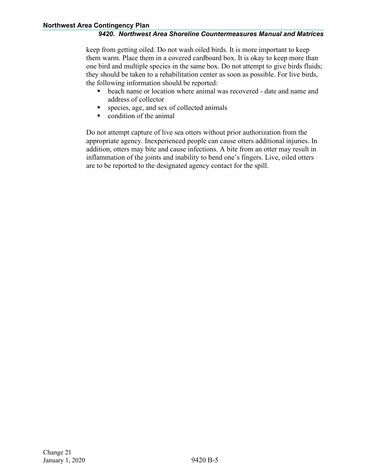keep from getting oiled. Do not wash oiled birds. It is more important to keep them warm. Place them in a covered cardboard box. It is okay to keep more than one bird and multiple species in the same box. Do not attempt to give birds fluids; they should be taken to a rehabilitation center as soon as possible. For live birds, the following information should be reported:

- **•** beach name or location where animal was recovered date and name and address of collector
- species, age, and sex of collected animals
- condition of the animal

Do not attempt capture of live sea otters without prior authorization from the appropriate agency. Inexperienced people can cause otters additional injuries. In addition, otters may bite and cause infections. A bite from an otter may result in inflammation of the joints and inability to bend one's fingers. Live, oiled otters are to be reported to the designated agency contact for the spill.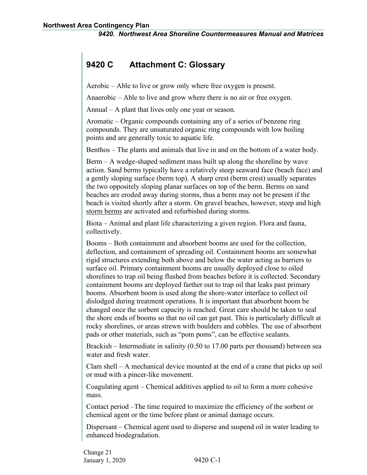# <span id="page-52-0"></span>**9420 C Attachment C: Glossary**

Aerobic – Able to live or grow only where free oxygen is present.

Anaerobic – Able to live and grow where there is no air or free oxygen.

Annual – A plant that lives only one year or season.

Aromatic – Organic compounds containing any of a series of benzene ring compounds. They are unsaturated organic ring compounds with low boiling points and are generally toxic to aquatic life.

Benthos – The plants and animals that live in and on the bottom of a water body.

Berm – A wedge-shaped sediment mass built up along the shoreline by wave action. Sand berms typically have a relatively steep seaward face (beach face) and a gently sloping surface (berm top). A sharp crest (berm crest) usually separates the two oppositely sloping planar surfaces on top of the berm. Berms on sand beaches are eroded away during storms, thus a berm may not be present if the beach is visited shortly after a storm. On gravel beaches, however, steep and high storm berms are activated and refurbished during storms.

Biota – Animal and plant life characterizing a given region. Flora and fauna, collectively.

Booms – Both containment and absorbent booms are used for the collection, deflection, and containment of spreading oil. Containment booms are somewhat rigid structures extending both above and below the water acting as barriers to surface oil. Primary containment booms are usually deployed close to oiled shorelines to trap oil being flushed from beaches before it is collected. Secondary containment booms are deployed farther out to trap oil that leaks past primary booms. Absorbent boom is used along the shore-water interface to collect oil dislodged during treatment operations. It is important that absorbent boom be changed once the sorbent capacity is reached. Great care should be taken to seal the shore ends of booms so that no oil can get past. This is particularly difficult at rocky shorelines, or areas strewn with boulders and cobbles. The use of absorbent pads or other materials, such as "pom poms", can be effective sealants.

Brackish – Intermediate in salinity (0.50 to 17.00 parts per thousand) between sea water and fresh water.

Clam shell – A mechanical device mounted at the end of a crane that picks up soil or mud with a pincer-like movement.

Coagulating agent – Chemical additives applied to oil to form a more cohesive mass.

Contact period –The time required to maximize the efficiency of the sorbent or chemical agent or the time before plant or animal damage occurs.

Dispersant – Chemical agent used to disperse and suspend oil in water leading to enhanced biodegradation.

Change 21 January 1, 2020 9420 C-1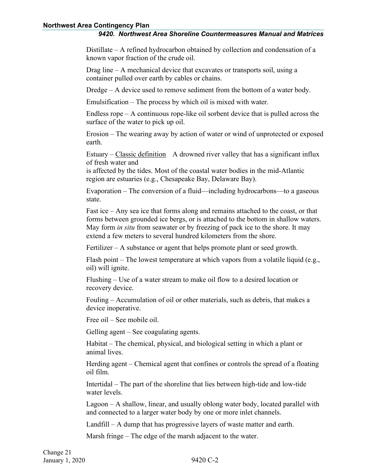#### **Northwest Area Contingency Plan**

#### *9420. Northwest Area Shoreline Countermeasures Manual and Matrices*

Distillate – A refined hydrocarbon obtained by collection and condensation of a known vapor fraction of the crude oil.

Drag line – A mechanical device that excavates or transports soil, using a container pulled over earth by cables or chains.

Dredge – A device used to remove sediment from the bottom of a water body.

Emulsification – The process by which oil is mixed with water.

Endless rope – A continuous rope-like oil sorbent device that is pulled across the surface of the water to pick up oil.

Erosion – The wearing away by action of water or wind of unprotected or exposed earth.

Estuary – Classic definition A drowned river valley that has a significant influx of fresh water and

is affected by the tides. Most of the coastal water bodies in the mid-Atlantic region are estuaries (e.g., Chesapeake Bay, Delaware Bay).

Evaporation – The conversion of a fluid—including hydrocarbons—to a gaseous state.

Fast ice – Any sea ice that forms along and remains attached to the coast, or that forms between grounded ice bergs, or is attached to the bottom in shallow waters. May form *in situ* from seawater or by freezing of pack ice to the shore. It may extend a few meters to several hundred kilometers from the shore.

Fertilizer – A substance or agent that helps promote plant or seed growth.

Flash point – The lowest temperature at which vapors from a volatile liquid (e.g., oil) will ignite.

Flushing – Use of a water stream to make oil flow to a desired location or recovery device.

Fouling – Accumulation of oil or other materials, such as debris, that makes a device inoperative.

Free oil – See mobile oil.

Gelling agent – See coagulating agents.

Habitat – The chemical, physical, and biological setting in which a plant or animal lives.

Herding agent – Chemical agent that confines or controls the spread of a floating oil film.

Intertidal – The part of the shoreline that lies between high-tide and low-tide water levels.

Lagoon – A shallow, linear, and usually oblong water body, located parallel with and connected to a larger water body by one or more inlet channels.

Landfill – A dump that has progressive layers of waste matter and earth.

Marsh fringe – The edge of the marsh adjacent to the water.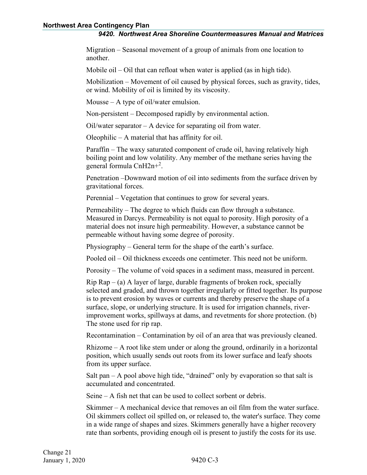Migration – Seasonal movement of a group of animals from one location to another.

Mobile oil – Oil that can refloat when water is applied (as in high tide).

Mobilization – Movement of oil caused by physical forces, such as gravity, tides, or wind. Mobility of oil is limited by its viscosity.

Mousse – A type of oil/water emulsion.

Non-persistent – Decomposed rapidly by environmental action.

Oil/water separator – A device for separating oil from water.

Oleophilic – A material that has affinity for oil.

Paraffin – The waxy saturated component of crude oil, having relatively high boiling point and low volatility. Any member of the methane series having the general formula CnH2n+<sup>2</sup> .

Penetration –Downward motion of oil into sediments from the surface driven by gravitational forces.

Perennial – Vegetation that continues to grow for several years.

Permeability – The degree to which fluids can flow through a substance. Measured in Darcys. Permeability is not equal to porosity. High porosity of a material does not insure high permeability. However, a substance cannot be permeable without having some degree of porosity.

Physiography – General term for the shape of the earth's surface.

Pooled oil – Oil thickness exceeds one centimeter. This need not be uniform.

Porosity – The volume of void spaces in a sediment mass, measured in percent.

 $Rip Rap - (a)$  A layer of large, durable fragments of broken rock, specially selected and graded, and thrown together irregularly or fitted together. Its purpose is to prevent erosion by waves or currents and thereby preserve the shape of a surface, slope, or underlying structure. It is used for irrigation channels, riverimprovement works, spillways at dams, and revetments for shore protection. (b) The stone used for rip rap.

Recontamination – Contamination by oil of an area that was previously cleaned.

Rhizome – A root like stem under or along the ground, ordinarily in a horizontal position, which usually sends out roots from its lower surface and leafy shoots from its upper surface.

Salt pan  $- A$  pool above high tide, "drained" only by evaporation so that salt is accumulated and concentrated.

Seine – A fish net that can be used to collect sorbent or debris.

Skimmer – A mechanical device that removes an oil film from the water surface. Oil skimmers collect oil spilled on, or released to, the water's surface. They come in a wide range of shapes and sizes. Skimmers generally have a higher recovery rate than sorbents, providing enough oil is present to justify the costs for its use.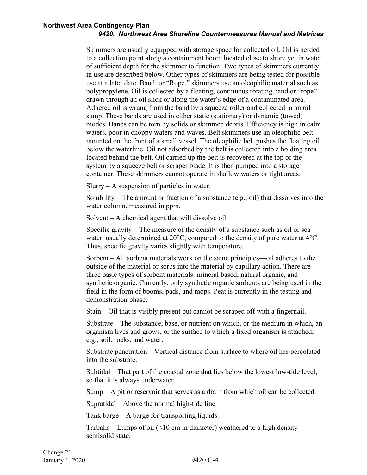Skimmers are usually equipped with storage space for collected oil. Oil is herded to a collection point along a containment boom located close to shore yet in water of sufficient depth for the skimmer to function. Two types of skimmers currently in use are described below. Other types of skimmers are being tested for possible use at a later date. Band, or "Rope," skimmers use an oleophilic material such as polypropylene. Oil is collected by a floating, continuous rotating band or "rope" drawn through an oil slick or along the water's edge of a contaminated area. Adhered oil is wrung from the band by a squeeze roller and collected in an oil sump. These bands are used in either static (stationary) or dynamic (towed) modes. Bands can be torn by solids or skimmed debris. Efficiency is high in calm waters, poor in choppy waters and waves. Belt skimmers use an oleophilic belt mounted on the front of a small vessel. The oleophilic belt pushes the floating oil below the waterline. Oil not adsorbed by the belt is collected into a holding area located behind the belt. Oil carried up the belt is recovered at the top of the system by a squeeze belt or scraper blade. It is then pumped into a storage container. These skimmers cannot operate in shallow waters or tight areas.

 $Slurv - A$  suspension of particles in water.

Solubility – The amount or fraction of a substance (e.g., oil) that dissolves into the water column, measured in ppm.

Solvent – A chemical agent that will dissolve oil.

Specific gravity – The measure of the density of a substance such as oil or sea water, usually determined at  $20^{\circ}$ C, compared to the density of pure water at  $4^{\circ}$ C. Thus, specific gravity varies slightly with temperature.

Sorbent – All sorbent materials work on the same principles—oil adheres to the outside of the material or sorbs into the material by capillary action. There are three basic types of sorbent materials: mineral based, natural organic, and synthetic organic. Currently, only synthetic organic sorbents are being used in the field in the form of booms, pads, and mops. Peat is currently in the testing and demonstration phase.

Stain – Oil that is visibly present but cannot be scraped off with a fingernail.

Substrate – The substance, base, or nutrient on which, or the medium in which, an organism lives and grows, or the surface to which a fixed organism is attached; e.g., soil, rocks, and water.

Substrate penetration – Vertical distance from surface to where oil has percolated into the substrate.

Subtidal – That part of the coastal zone that lies below the lowest low-tide level, so that it is always underwater.

Sump – A pit or reservoir that serves as a drain from which oil can be collected.

Supratidal – Above the normal high-tide line.

Tank barge – A barge for transporting liquids.

Tarballs – Lumps of oil  $($ <10 cm in diameter) weathered to a high density semisolid state.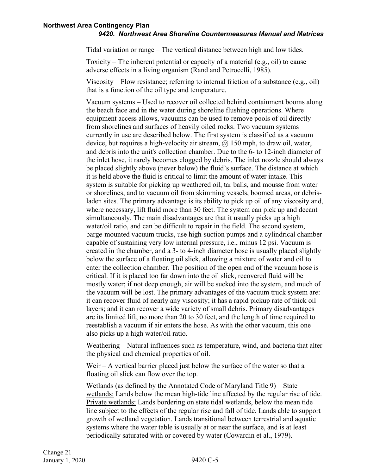Tidal variation or range – The vertical distance between high and low tides.

Toxicity – The inherent potential or capacity of a material (e.g., oil) to cause adverse effects in a living organism (Rand and Petrocelli, 1985).

Viscosity – Flow resistance; referring to internal friction of a substance (e.g., oil) that is a function of the oil type and temperature.

Vacuum systems – Used to recover oil collected behind containment booms along the beach face and in the water during shoreline flushing operations. Where equipment access allows, vacuums can be used to remove pools of oil directly from shorelines and surfaces of heavily oiled rocks. Two vacuum systems currently in use are described below. The first system is classified as a vacuum device, but requires a high-velocity air stream,  $\omega$  150 mph, to draw oil, water, and debris into the unit's collection chamber. Due to the 6- to 12-inch diameter of the inlet hose, it rarely becomes clogged by debris. The inlet nozzle should always be placed slightly above (never below) the fluid's surface. The distance at which it is held above the fluid is critical to limit the amount of water intake. This system is suitable for picking up weathered oil, tar balls, and mousse from water or shorelines, and to vacuum oil from skimming vessels, boomed areas, or debrisladen sites. The primary advantage is its ability to pick up oil of any viscosity and, where necessary, lift fluid more than 30 feet. The system can pick up and decant simultaneously. The main disadvantages are that it usually picks up a high water/oil ratio, and can be difficult to repair in the field. The second system, barge-mounted vacuum trucks, use high-suction pumps and a cylindrical chamber capable of sustaining very low internal pressure, i.e., minus 12 psi. Vacuum is created in the chamber, and a 3- to 4-inch diameter hose is usually placed slightly below the surface of a floating oil slick, allowing a mixture of water and oil to enter the collection chamber. The position of the open end of the vacuum hose is critical. If it is placed too far down into the oil slick, recovered fluid will be mostly water; if not deep enough, air will be sucked into the system, and much of the vacuum will be lost. The primary advantages of the vacuum truck system are: it can recover fluid of nearly any viscosity; it has a rapid pickup rate of thick oil layers; and it can recover a wide variety of small debris. Primary disadvantages are its limited lift, no more than 20 to 30 feet, and the length of time required to reestablish a vacuum if air enters the hose. As with the other vacuum, this one also picks up a high water/oil ratio.

Weathering – Natural influences such as temperature, wind, and bacteria that alter the physical and chemical properties of oil.

Weir – A vertical barrier placed just below the surface of the water so that a floating oil slick can flow over the top.

Wetlands (as defined by the Annotated Code of Maryland Title 9) – State wetlands: Lands below the mean high-tide line affected by the regular rise of tide. Private wetlands: Lands bordering on state tidal wetlands, below the mean tide line subject to the effects of the regular rise and fall of tide. Lands able to support growth of wetland vegetation. Lands transitional between terrestrial and aquatic systems where the water table is usually at or near the surface, and is at least periodically saturated with or covered by water (Cowardin et al., 1979).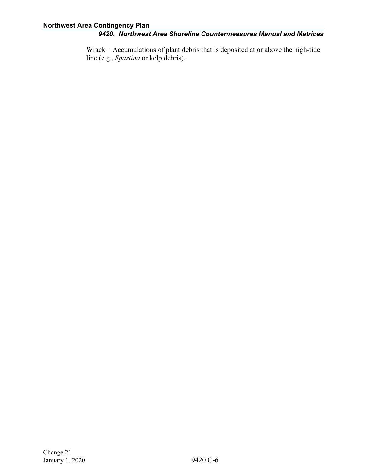Wrack – Accumulations of plant debris that is deposited at or above the high-tide line (e.g., *Spartina* or kelp debris).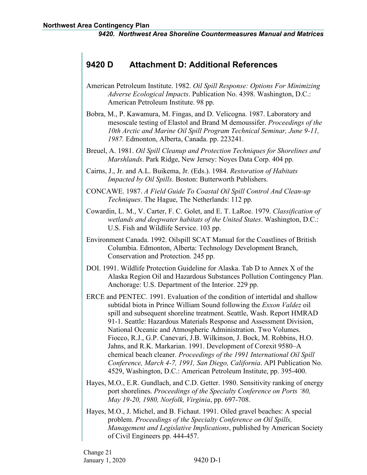# <span id="page-58-0"></span>**9420 D Attachment D: Additional References**

- American Petroleum Institute. 1982. *Oil Spill Response: Options For Minimizing Adverse Ecological Impacts*. Publication No. 4398. Washington, D.C.: American Petroleum Institute. 98 pp.
- Bobra, M., P. Kawamura, M. Fingas, and D. Velicogna. 1987. Laboratory and mesoscale testing of Elastol and Brand M demoussifer. *Proceedings of the 10th Arctic and Marine Oil Spill Program Technical Seminar, June 9-11, 1987.* Edmonton, Alberta, Canada. pp. 223241.
- Breuel, A. 1981. *Oil Spill Cleanup and Protection Techniques for Shorelines and Marshlands*. Park Ridge, New Jersey: Noyes Data Corp. 404 pp.
- Cairns, J., Jr. and A.L. Buikema, Jr. (Eds.). 1984. *Restoration of Habitats Impacted by Oil Spills*. Boston: Butterworth Publishers.
- CONCAWE. 1987. *A Field Guide To Coastal Oil Spill Control And Clean-up Techniques*. The Hague, The Netherlands: 112 pp.
- Cowardin, L. M., V. Carter, F. C. Golet, and E. T. LaRoe. 1979. *Classification of wetlands and deepwater habitats of the United States*. Washington, D.C.: U.S. Fish and Wildlife Service. 103 pp.
- Environment Canada. 1992. Oilspill SCAT Manual for the Coastlines of British Columbia. Edmonton, Alberta: Technology Development Branch, Conservation and Protection. 245 pp.
- DOI. 1991. Wildlife Protection Guideline for Alaska. Tab D to Annex X of the Alaska Region Oil and Hazardous Substances Pollution Contingency Plan. Anchorage: U.S. Department of the Interior. 229 pp.
- ERCE and PENTEC. 1991. Evaluation of the condition of intertidal and shallow subtidal biota in Prince William Sound following the *Exxon Valdez* oil spill and subsequent shoreline treatment. Seattle, Wash. Report HMRAD 91-1. Seattle: Hazardous Materials Response and Assessment Division, National Oceanic and Atmospheric Administration. Two Volumes. Fiocco, R.J., G.P. Canevari, J.B. Wilkinson, J. Bock, M. Robbins, H.O. Jahns, and R.K. Markarian. 1991. Development of Corexit 9580–A chemical beach cleaner. *Proceedings of the 1991 International Oil Spill Conference, March 4-7, 1991, San Diego, California*. API Publication No. 4529, Washington, D.C.: American Petroleum Institute, pp. 395-400.
- Hayes, M.O., E.R. Gundlach, and C.D. Getter. 1980. Sensitivity ranking of energy port shorelines. *Proceedings of the Specialty Conference on Ports '80, May 19-20, 1980, Norfolk, Virginia*, pp. 697-708.
- Hayes, M.O., J. Michel, and B. Fichaut. 1991. Oiled gravel beaches: A special problem. *Proceedings of the Specialty Conference on Oil Spills, Management and Legislative Implications*, published by American Society of Civil Engineers pp. 444-457.

Change 21 January 1, 2020 9420 D-1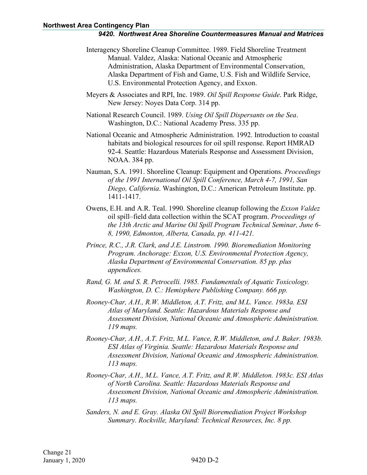- Interagency Shoreline Cleanup Committee. 1989. Field Shoreline Treatment Manual. Valdez, Alaska: National Oceanic and Atmospheric Administration, Alaska Department of Environmental Conservation, Alaska Department of Fish and Game, U.S. Fish and Wildlife Service, U.S. Environmental Protection Agency, and Exxon.
- Meyers & Associates and RPI, Inc. 1989. *Oil Spill Response Guide*. Park Ridge, New Jersey: Noyes Data Corp. 314 pp.
- National Research Council. 1989. *Using Oil Spill Dispersants on the Sea*. Washington, D.C.: National Academy Press. 335 pp.
- National Oceanic and Atmospheric Administration. 1992. Introduction to coastal habitats and biological resources for oil spill response. Report HMRAD 92-4. Seattle: Hazardous Materials Response and Assessment Division, NOAA. 384 pp.
- Nauman, S.A. 1991. Shoreline Cleanup: Equipment and Operations. *Proceedings of the 1991 International Oil Spill Conference, March 4-7, 1991, San Diego, California*. Washington, D.C.: American Petroleum Institute. pp. 1411-1417.
- Owens, E.H. and A.R. Teal. 1990. Shoreline cleanup following the *Exxon Valdez*  oil spill–field data collection within the SCAT program. *Proceedings of the 13th Arctic and Marine Oil Spill Program Technical Seminar, June 6- 8, 1990, Edmonton, Alberta, Canada, pp. 411-421.*
- *Prince, R.C., J.R. Clark, and J.E. Linstrom. 1990. Bioremediation Monitoring Program. Anchorage: Exxon, U.S. Environmental Protection Agency, Alaska Department of Environmental Conservation. 85 pp. plus appendices.*
- *Rand, G. M. and S. R. Petrocelli. 1985. Fundamentals of Aquatic Toxicology. Washington, D. C.: Hemisphere Publishing Company. 666 pp.*
- *Rooney-Char, A.H., R.W. Middleton, A.T. Fritz, and M.L. Vance. 1983a. ESI Atlas of Maryland. Seattle: Hazardous Materials Response and Assessment Division, National Oceanic and Atmospheric Administration. 119 maps.*
- *Rooney-Char, A.H., A.T. Fritz, M.L. Vance, R.W. Middleton, and J. Baker. 1983b. ESI Atlas of Virginia. Seattle: Hazardous Materials Response and Assessment Division, National Oceanic and Atmospheric Administration. 113 maps.*
- *Rooney-Char, A.H., M.L. Vance, A.T. Fritz, and R.W. Middleton. 1983c. ESI Atlas of North Carolina. Seattle: Hazardous Materials Response and Assessment Division, National Oceanic and Atmospheric Administration. 113 maps.*
- *Sanders, N. and E. Gray. Alaska Oil Spill Bioremediation Project Workshop Summary. Rockville, Maryland: Technical Resources, Inc. 8 pp.*